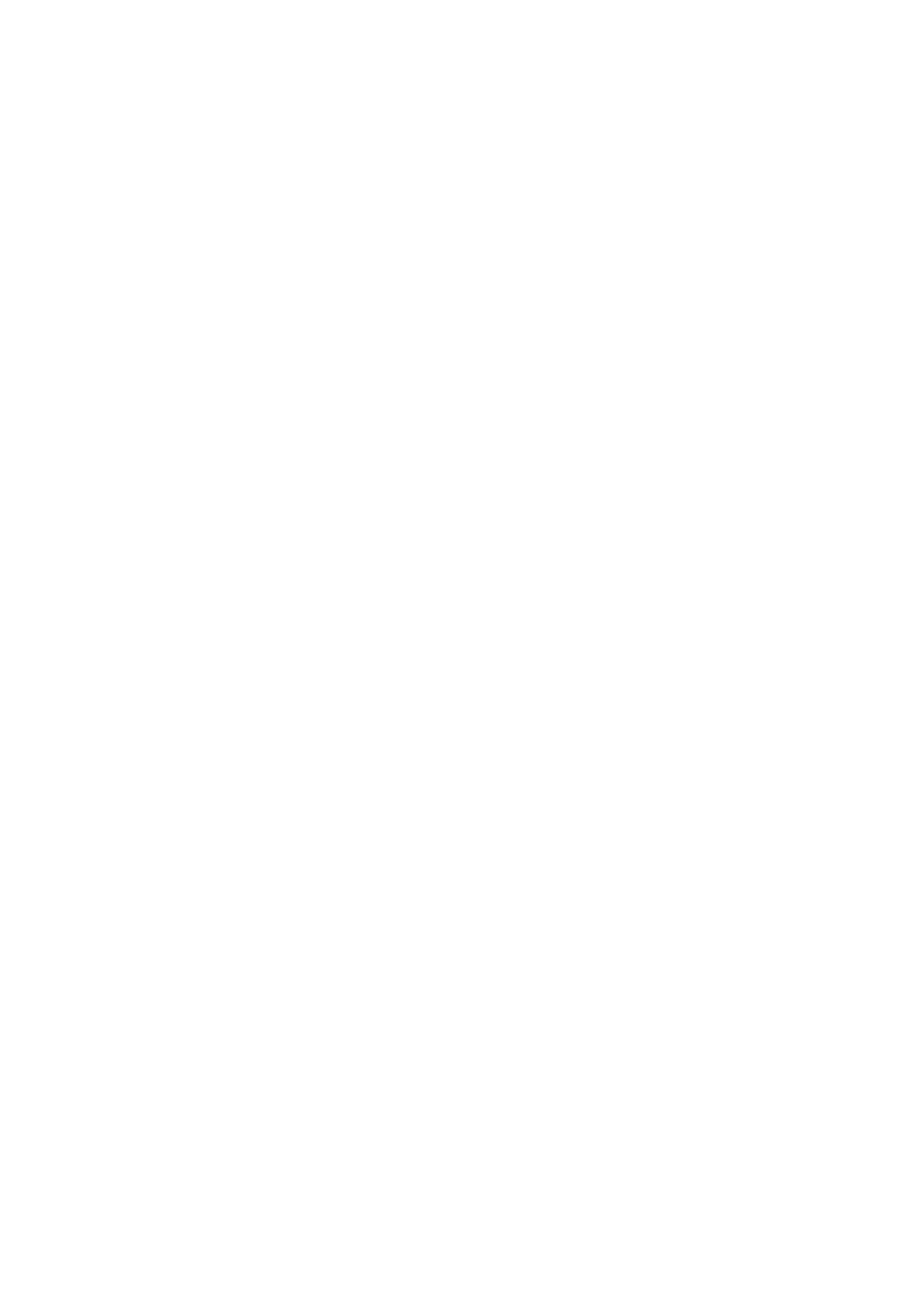# **UNIT-1 EARLY CLASSICAL THEATRE**

#### **Structure**

- 1.0 Objective
- 1.1 Introduction
- 1.2 *Theatron*
- 1.3 Actors and Acting in Ancient Greece
- 1.4 Let Us Sum Up
- 1.5 Check Your Progress

#### **1.0 OBJECTIVE**

In this unit you will learn about "Classical Greece"

- $\triangleright$  Why is it historically important?
- $\triangleright$  What people thought as much as what they did?
- $\triangleright$  What the Greeks of the Classical Age deserve credit for is an intellectual culture that resulted in remarkable innovations?
- $\triangleright$  Together with humanistic art, literature, and a new focus on the rational mind's ability to learn about nature and to improve politics and social organization.
- $\triangleright$  What the Greeks had never done, however, was spread that culture and those beliefs to non-Greeks?

# **1.1 INTRODUCTION: AN OVERVIEW OF CLASSICAL GREEK DRAMA**

According to Aristotle, the Athenians developed tragedy first, with comedy following a generation or so later. While this assessment is essentially correct, the truth seems to have been somewhat more complicated. Comic dramas as opposed to comedy itself that is, humorous plays versus the formal genre of "comedy"—appear to have evolved alongside their tragic counterpart, perhaps even before it. The satyr play, in particular, a farcical rendition of myths more often treated seriously which featured a chorus of rowdy, irreverent satyrs (half-human half-animal spirits of the wilderness notorious for their lust and gluttony), emerged early in the tradition of Greek theatre, though exactly how early is not clear. Nevertheless, the historical sources for theatrical performances in the Classical Age focus largely on tragedy as the hub of early dramatic activity, even if its pre-eminence probably looks clearer in hindsight than it seemed in the day.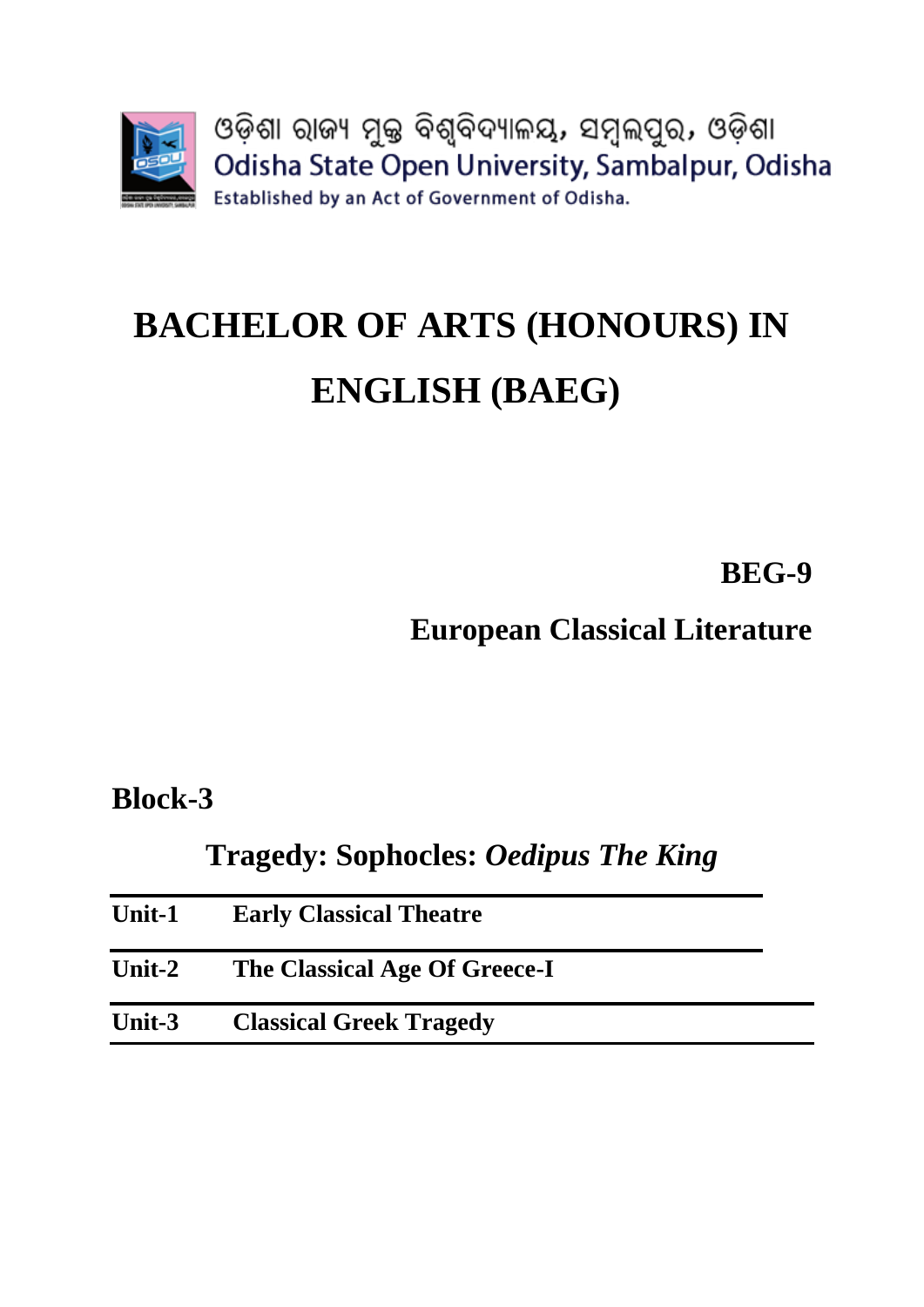Three tragedians emerge from the fifth century BCE as the principal practitioners of classical Greek tragic drama: Aeschylus, Sophocles, and Euripides. Theirs are the only tragedies preserved whole. First and foremost, Aeschylus lived a generation earlier than the other two so his work provides our first hard look at Greek drama. If to modern viewers his plays seem static and slow-moving, there can be little doubt they were exciting and controversial in their day.



The elder of the later pair, Sophocles is often seen as the best playwright of the three in the general estimation of many in the scholarly community, Sophocles remains the finest exponent of tragic arts ever—and certainly his polished dramas were very wellrespected in the Classical Age, as they have been for the most part ever since. It is somewhat ironic to note, then, that interest in his drama in performance seems to have waned fairly soon after his lifetime.

Conversely, Euripides, while alienating his contemporaries and considered by many a distant second to Sophocles when the two of them were alive, left behind a body of drama which commanded the stage after the Classical Age. There can be little doubt why: Euripides had a knack for putting on stage eye-catching situations and creating memorable characters with extreme personality disorders. Accordingly, theatrical records show that his works were very frequently produced in later ages, outstripping both Sophocles and Aeschylus.

No Greek tragedy from the fourth century or later (the Post-Classical Age) has been preserved intact, making it hard to determine the course of tragic drama in Greece after the lifetime of Sophocles and Euripides [\(note\)](http://www.usu.edu/markdamen/ClasDram/notes/061/n0601.htm). We can, however, follow the evolution of its close kin, comedy, in later Greek theatre.



The presentation of humorous material has deep roots in ancient Greece, perhaps as old as tragedy itself, but because comedy was seen as a lesser art form until quite late in the evolution of Western Civilization, the evidence for this genre of drama is scant. Historical records make it clear skits designed to provoke laughter were being written throughout and even before the

Classical Age—comedy officially premiered at the Dionysia at some point during the 480's BCE, between the Persian Wars—and this type of theatre, now termed "Old Comedy," gained popularity steadily across the fifth century. In particular, it began to attract widespread attention during the Peloponnesian War when productions of comedy provided the Athenians much needed relief from the anxiety and sorrow of their conflict against Sparta.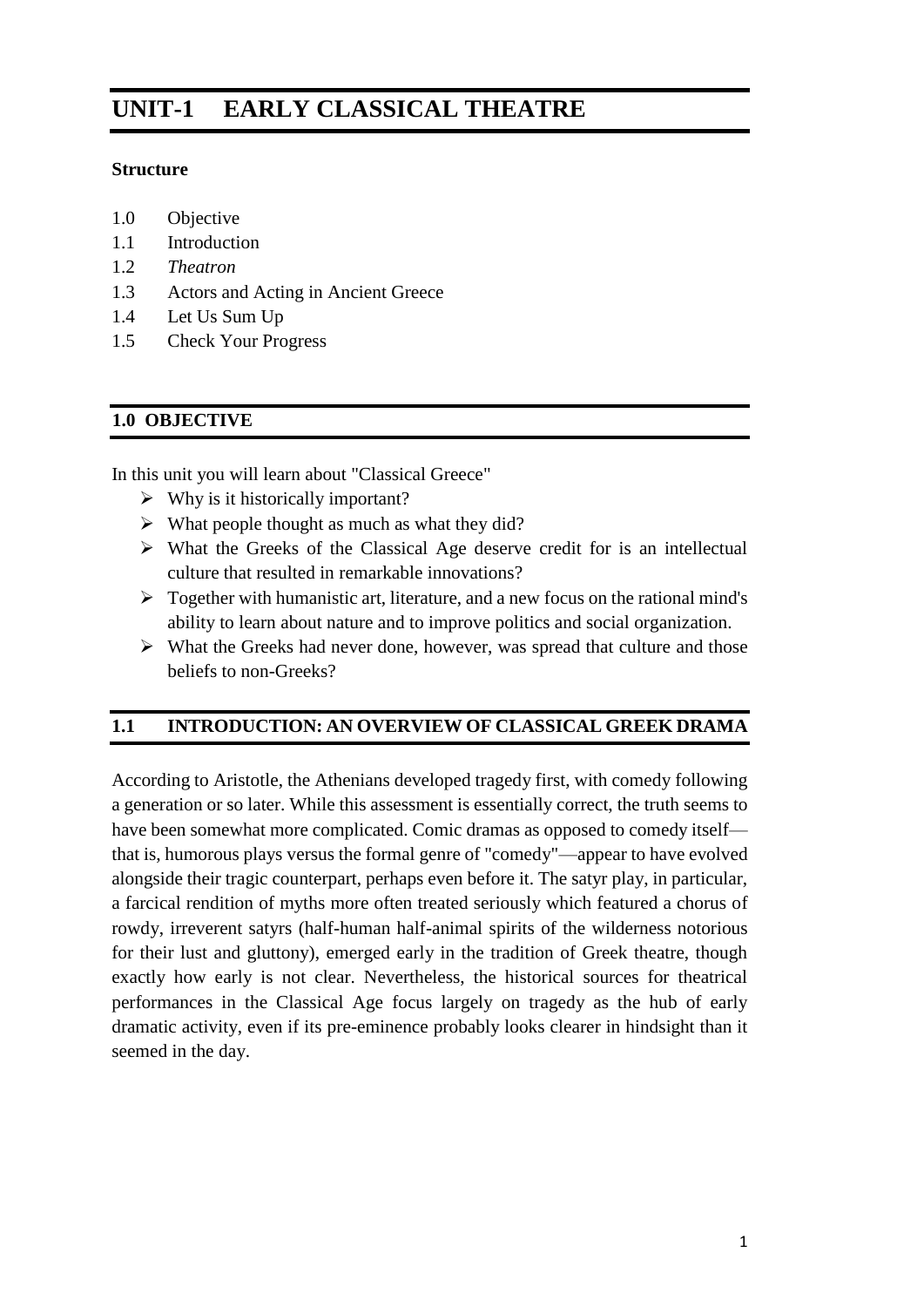While the names of several exponents of this genre in the fifth century are preserved, and in some cases fragments of their work as well, the plays of only one Old Comedy playwright, Aristophanes, have come down to us complete. His drama—and presumably that of his predecessors and contemporaries, too—was primarily built

around current events and issues. Indeed, all indications point to political and social satire as the hallmark of Old Comedy, especially toward the end of the Classical Age. Later, however, after the end of the Peloponnesian War, as Greece moved into the Post-Classical period, comedy underwent a major transformation. From ridiculing celebrities and the regime in power to focusing on the lives and lifestyles of less prominent people, comic drama evolved toward the end of the fourth century (the 300's BCE) into a new and very different-looking type of entertainment. Out of the ashes of civil war and



Alexander's conquests and the many desperations of the upper-middle class was born the "sit-com."

The master of this "New Comedy" was Menander, heralded by at least one ancient critic as an author unsurpassed in quality. However, for reasons having nothing to do with his brilliant stagecraft, his work did not survive the Middle Ages. Fortunately, the sands of Egypt have rendered up several of his plays, albeit in "rags and patches" but well enough preserved for us to see what his drama looked like. Character-driven, highly stylized pieces with recurring characters and inclined toward subtle rather than broad humor, Menandrean New Comedy in more ways than one marks the beginning of modern drama.

# **1.2** *THEATRON*



The physical remains of Greek theatre from the Classical Age are pitifully few, making it a treacherous enterprise to reconstruct the theatre spaces, sets, costumes, music or any of the material features of theatre in the great age which fostered Greek tragedy (the 400's BCE). Thus, what is known about theatre in the century before that, the 500's BCE, the age

when drama itself first emerged, is a veritable blank. Most Greek theatres visible today around the Mediterranean basin were constructed after the Classical Age, while those few which belong to the earliest periods of theatre evolution have almost universally been renovated in later periods of antiquity, leaving them dubious sources of information about classical theatre. That is, they constitute "secondary sources," for the most part.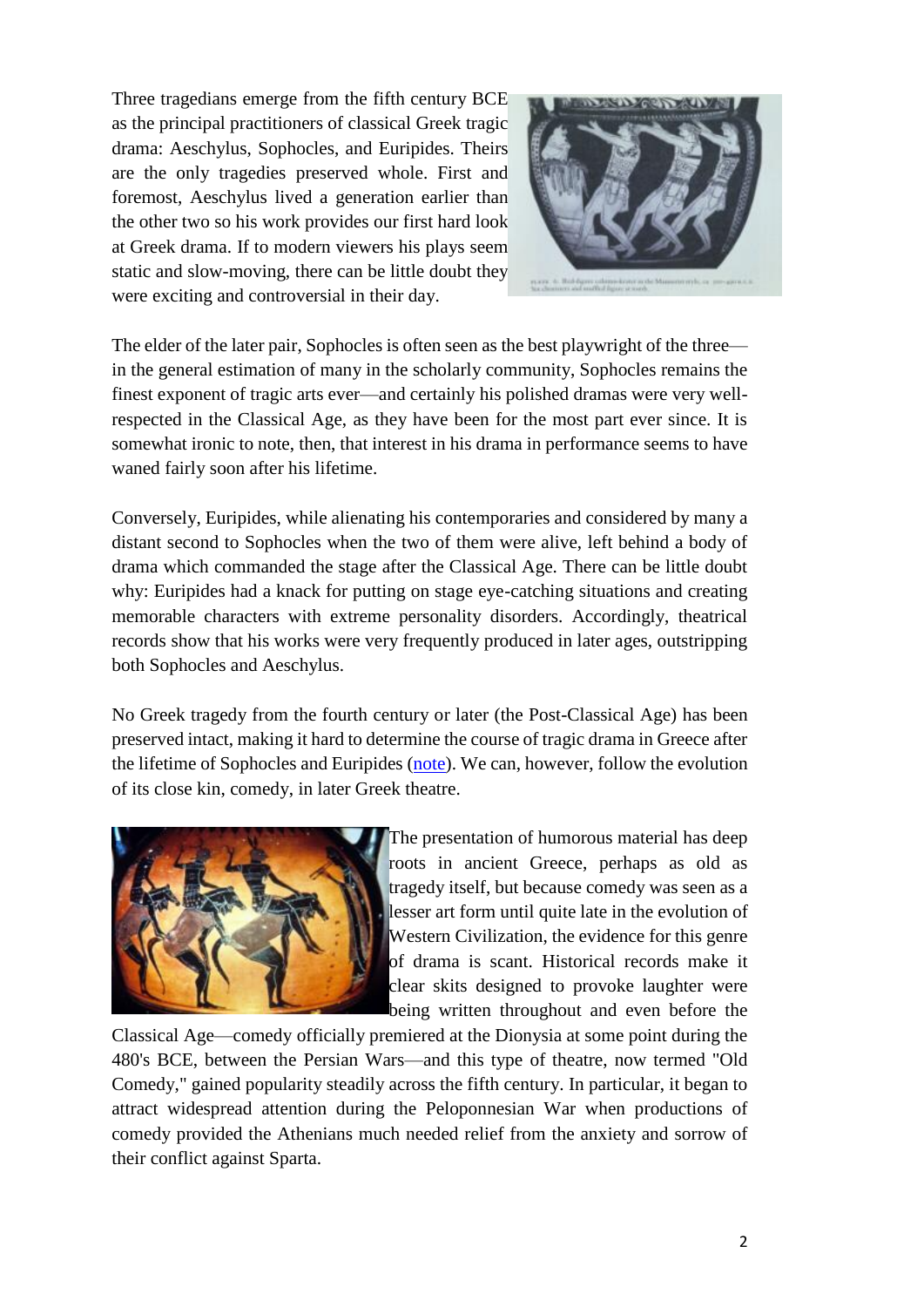Our data concerning classical stage practices, such as acting styles, costumes, musical accompaniment and the like, are in general equally unclear. Though some historical sources seem to provide reliable information about the performance of classical tragedy, the modern appreciation of these data still relies heavily on the fifth-century dramas that happen to have survived. To make matters worse, ancient theatre was in its customs and practices a rather fluid enterprise, and what rules applied to one period—or even one decade!—may not necessarily have applied to another. As a consequence, the discussion below is an attempt to review the highlights of an issue clouded by mystery and delve into a few of the better attested theatre practices of the Classical and Post-Classical period.

#### **A. Festivals and the Nature of Ancient Performance**

For some time—until the first half of the fifth century, at least (ca. 450 BCE)—all drama appears to have been presented at the **City Dionysia**, the annual Athenian festival held each spring in honor of the god Dionysus. While it's clear that there was a competition held there among dramatists in which the work of one of them was awarded "first place," much else is uncertain, such as the number of tragedians each year who wrote how many plays distributed over how long a festival. The figures seem to have varied over the course of the century. That tragedies would later be packaged into **trilogies**—that is, groups of three plays connected by plot



or theme (or both)—with a comic **satyr play** appended afterwards has led some scholars to retroject this tradition back to the earliest days, but the validity of that supposition is impossible to determine given the paucity of information within our grasp.

What *is* clear is that among the ancient Athenians interest in theatre as an art form rose precipitously from the end of the Pre-Classical Age (ca. 500 BCE) and continued to grow steadily over the course of the fifth century. For instance, in the 440's BCE another competition among tragic and comic dramatists was instituted at a subsidiary festival held in honor of Dionysus, the **Lenaea**, a strictly intra-Athenian affair occurring in mid-winter (late January). By the post-classical period (after 400 BCE), all sorts of festivals had started to incorporate drama into their festivities whether they had a natural connection with theatre or not. Clearly, the popularity of theatre made it attractive to a wide range of cults as a way of catering to the public. It comes as no surprise, then, that Greek plays began in this age to be exported all over the ancient world, laying the foundation for not only theatre as a key feature of ancient Western Civilization but also Greek as the "common" (*koine*) language of international commerce in this region.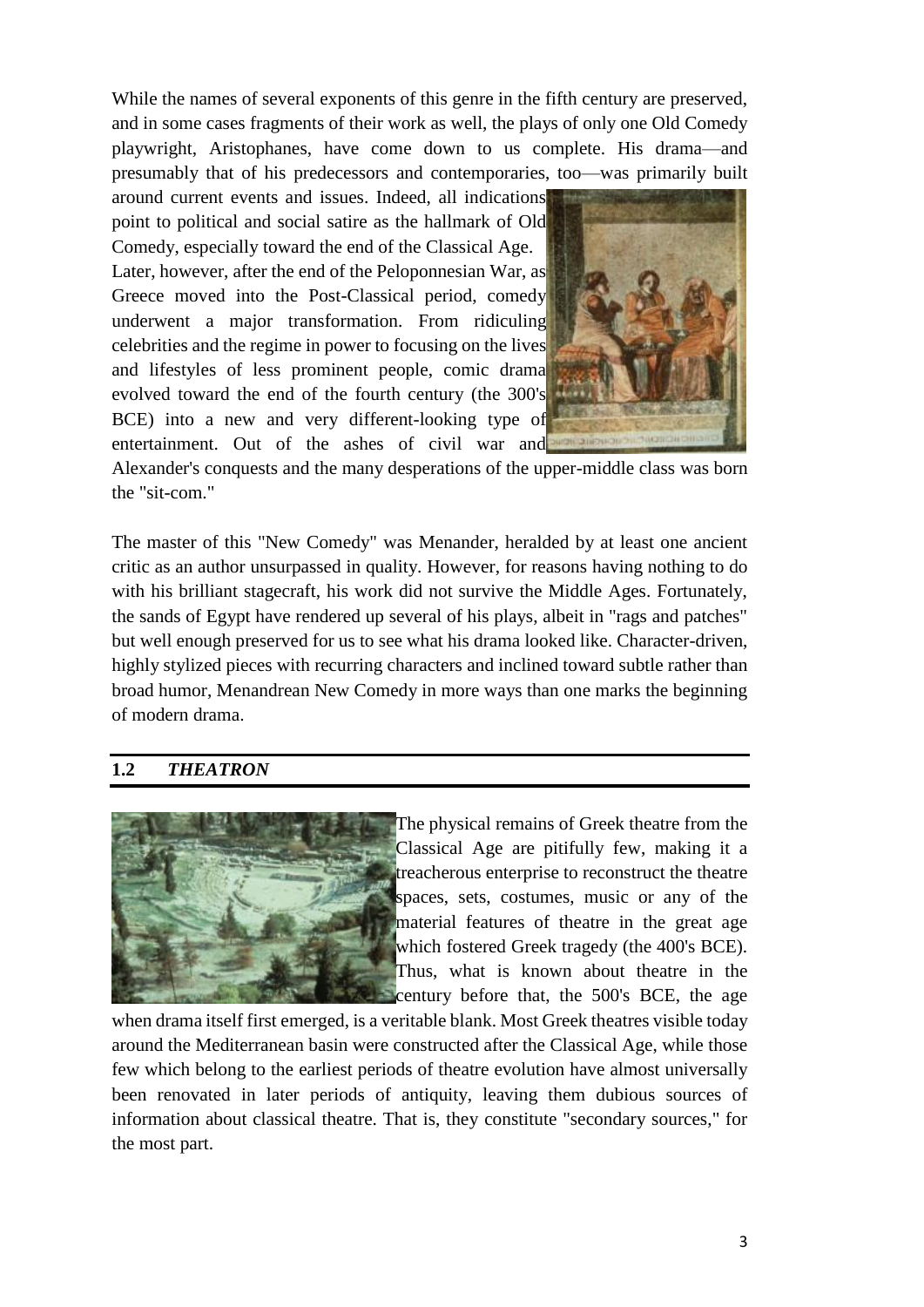

The performance spaces of classical antiquity are enormous by today's standards, closer in size to modern sports stadiums than the sorts of theatres with which we are most familiar. Outdoors and most often situated on steep slopes that curve around the playing area, many ancient theatres were capable of housing thousands of spectators. These *theatra* (the plural of *theatron*)—the Greek

word originally referred only to the seating area in a theatre, as was noted in Chapter 1—call for a certain style of performance. In order to be heard, for instance, the ancient actor had to have a strong **voice**. Likewise, costumes, sets and movement also needed to be visible from and intelligible at great distances. Unlike modern realistic plays which for the most part call for intimate, indoor theatre spaces with controlled lighting, ancient drama had more the feel we associate with large-scale athletic events.

Actually, if the ancient Greeks had compared drama to anything in their day, it would probably have been **courtroom trials**. Lawyers back then were seen as "actors" of a sort inasmuch as they provided some of the more sensational and theatrical moments in Greek history. Often pleading cases before thousands of people and hardly shy about dramatizing their appearance in



court, orators in antiquity rarely hesitated to allude to drama during litigation, one at least even going so far as to quote tragedy at some length as if he were an actor. In fact, the ancient Athenians fairly often used their large, centrally located acting venue, the **Theatre of Dionysus**, as the site of important trials. So, if theatre seemed like anything to the ancient Greeks, it was most likely a lawsuit and, as such, Greek drama imports at times a distinctly litigious atmosphere where characters appear to prosecute each other, appealing on occasion to the audience as if it were a jury. Nor is this at all out of line with reality since most of the Athenian spectators would have served as jury-members at some point during their lives, some watching the play from the very same seats in which they had sat as jurors.

In that light, the ancient Greeks saw little reason for maintaining an invisible "fourth wall" or building characters with **interiority** (i.e. psychological subtlety effected through subtext), features conventional in modern theatre. Instead, **presentationalism** and overt grandeur typify Greek theatre and drama. Like the trials and public spectacles which Greek drama so often resembles—and which it surely shaped, in turn—ancient theatre in Greece had little choice but to meet the enormity of the arena it played in. And so it did, in high style, especially in the hands of its greatest exponents. Thus, it is safe to conclude that the ancient *theatron* and its close kin, the courtroom, shared a long-standing tradition of showmanship. In other words, the ancient Greeks would have felt right at home watching any of the sensational trials televised today, especially the prosecution of celebrities, and would probably have watched Senate hearings on CSPAN in far greater numbers than we do.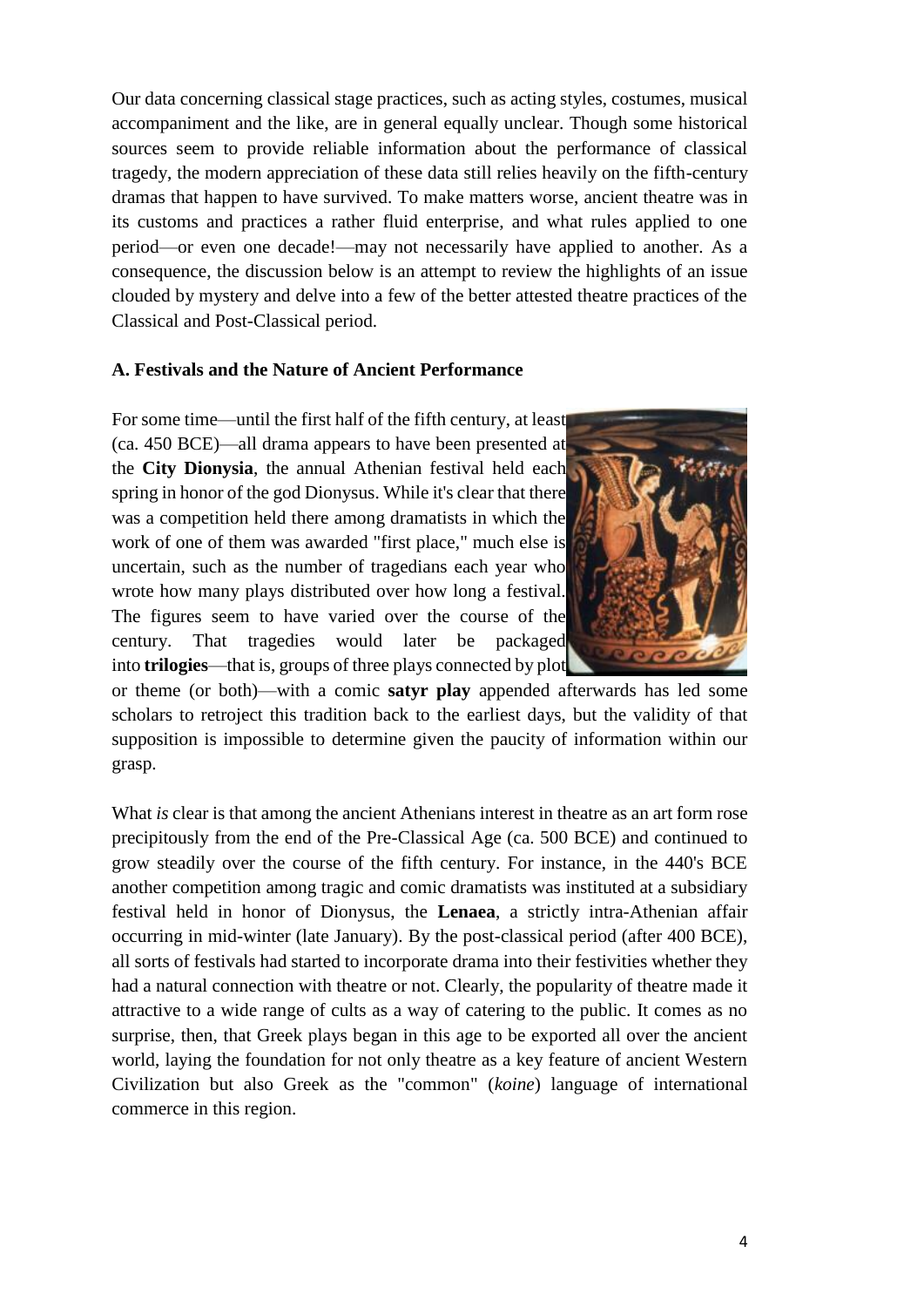#### **B. The Theatre in the Classical Age**



The primary and primordial performance space in ancient Athens and the home of the City Dionysia was the Theatre of Dionysus. Built into the slopes of the **Acropolis** where it could utilize the natural terrain to create seating, this "instrument for viewing" is, if not the actual birthplace, certainly the cradle of Western drama. But its exact structure in the Classical

Age is impossible to determine. It was substantially refurbished twice in antiquity, once in the later fourth century (300's BCE) and once again in Roman times, making it unlikely that a single stone visible in the theatre today was there in the Classical Age. Thus, it is improbable any of the classical tragedians would recognize much of the theatre we see now other than its location.



"instrument for dance")—of the Theatre of Dionysus, the flat area at the bottom of the theatre where the chorus sang and danced, is today circular. In the fifth century BCE, however, it was more likely rectangular. This assertion is based on two, albeit scanty, pieces of information. First, ancient choral dances were "rectangular," which a rectangular space would suit better.

Second, the only known theatre which has remained unchanged from that day, the **Theatre at Thorikos**—Thorikos was an Athenian *deme* ("district, borough") has a rectangular orchestra with only its corners rounded. Nevertheless, it is not certain that the Theatre at Thorikos was used as a space for performing drama, or just a public meeting ground. In sum, it is hard to speak definitively about the physical nature of the Theatre of Dionysus as it existed in the Classical Age, except to say that it was a large structure capable of housing crowds which were huge even by modern standards.

#### **1. The** *Skene*

Still, it is possible to make a few conclusions. For instance, from the very dawn of Greek drama there was probably a backstage area of some sort, into which the actors could retire during a show and change costume. There is no ancient theatre extant which does not preserve or have room for the remains of a "backstage" of some sort. The Greeks referred to this part of the theatre as the *skene* ("tent"), recalling, no doubt,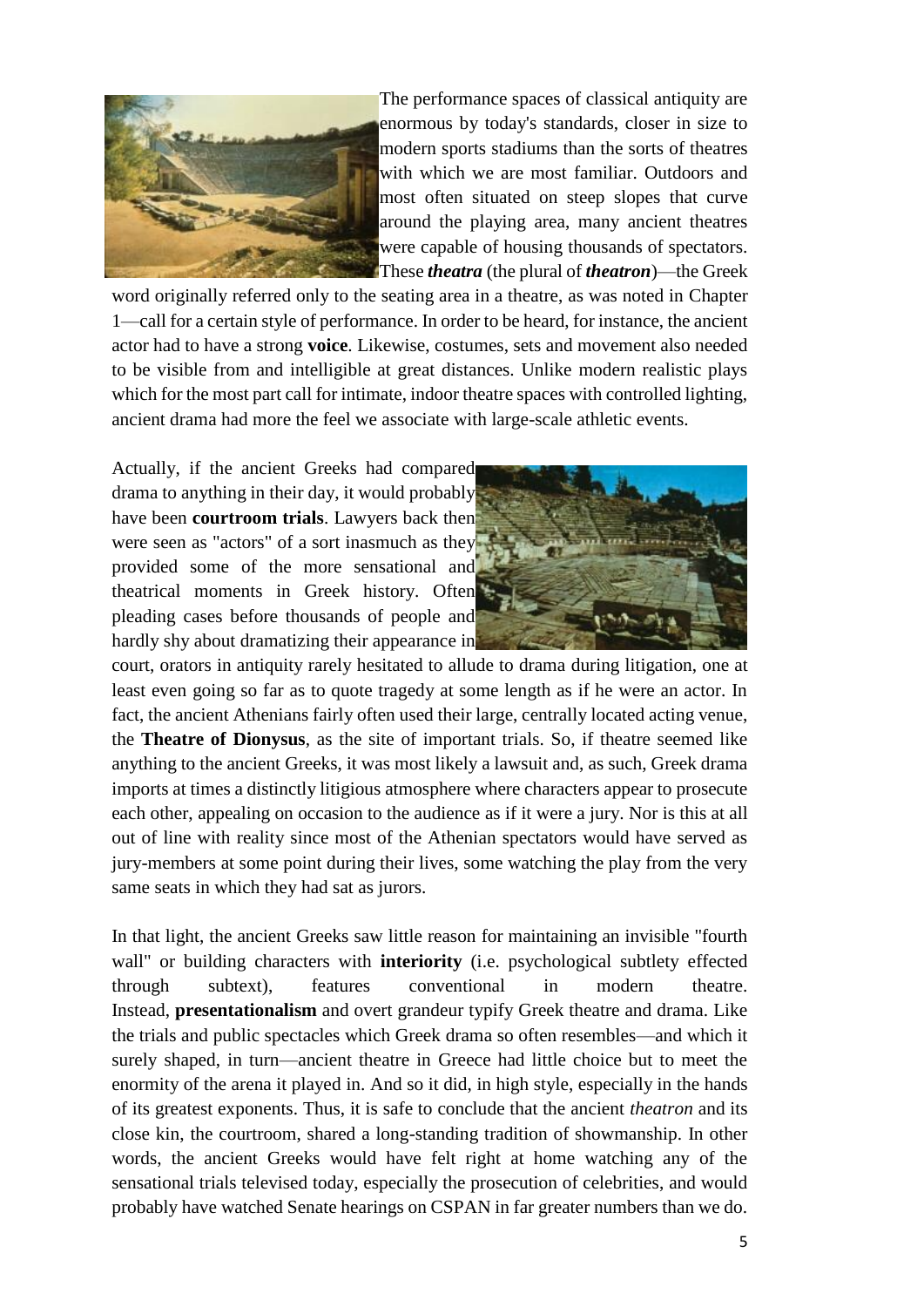its origins as a temporary structure, perhaps even an actual tent into which the first actors of antiquity withdrew during performance.



The situation is not that simple, however. For instance, Aeschylus' earliest plays (*Persae*, *Suppliants*, *Seven Against Thebes*) were produced in the Theatre of Dionysus—they are the oldest Greek tragedies preserved entire—but they do not call for any permanent structure on stage. Thus, it is not clear that the Theatre of Dionysus prior to the 460's BCE had any

building as such on stage; in that case, the *skene* could have been merely a "tent." So, we can be certain that the Theatre of Dionysus had a permanent *skene* building only *after* the first decades of the Classical Age.

On the other hand, mask and costume changes which all of Aeschylus' dramas entail require some sort of structure into which the actor can briefly retire out the audience's sight during performance. That Aeschylus' later plays do indeed call for a *skene* building with a roof strong enough to hold an actor standing on top of it, as in the opening scene of Aeschylus' *Agamemnon* (the first play of the *Oresteia* trilogy), shows that by at least 458 BCE there must have been some type of *skene* building in the Theatre of Dionysus. However, its architectural style and specific dimensions lie outside of our understanding at present.

Other dramas preserved from the Classical Age shed a bit more light on the nature of the *skene* building in the Classical Age. For instance, they show that it must have had at least one door, because several fifth-century tragedies call for actors to enter from a building or for the chorus to pass from the orchestra into the *skene* building. Therefore, there was not only a backstage structure of some sort but relatively easy access between it and the area where the chorus danced. Furthermore, as noted above, the roof of the *skene* building must have been flat and strong enough to support at least one actor's weight—and two or more by the end of the Classical Age—so it follows that there had to have been stairs or a ladder inside the *skene* leading up to the roof.

But, unfortunately, this is really all we can said with certainty about the ancient *skene*. That surviving classical dramas do not refer to it often or call for its extensive utilization argues it was not particularly complex in its design or application. If true, perhaps, of the Classical Age, the same did not apply to the post-classical Greek world. By that time the "tent" was being used to depict a play's setting through a process the Greeks called *skenographia* ("tent-drawing," implying some sort of painted backdrop) from which comes our word "scene" in the sense of scenery. So, even if the *skene* started out as a weak presence in classical theatre, it grew later, in the fourth century BCE, into an elaborate structure and, without doubt, represents the beginnings of set design.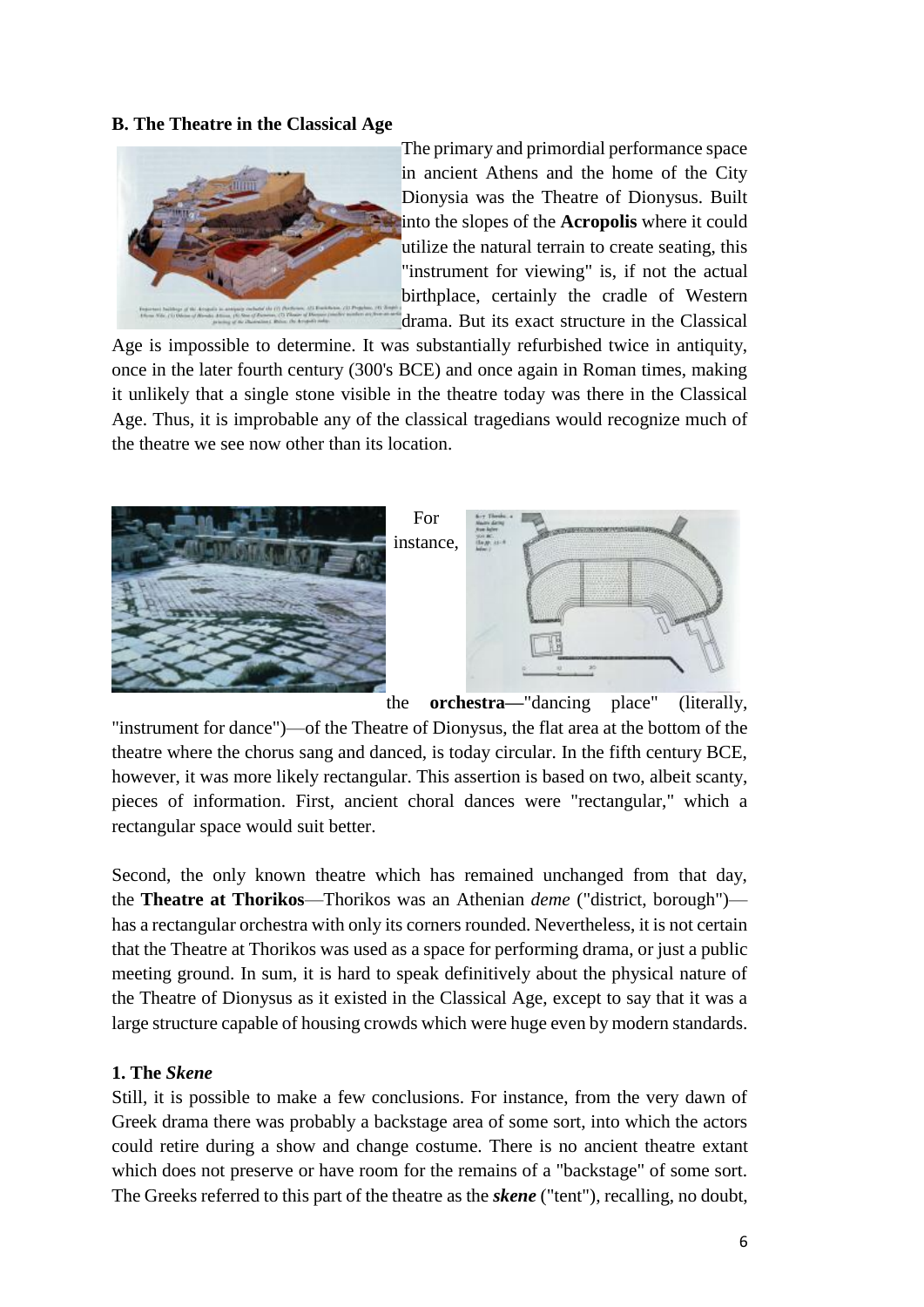# **C. Special Effects**

Other requirements of the theatre called for in classical drama shed further light on the nature of the Theatre of Dionysus in the fifth century BCE. Several classical tragedies, for instance, require that the *skene* building open up and reveal an interior scene. The device used for this was called by the Greeks the *ekkyklema* ("roll-out"), presumably a wheeled platform on which an interior scene could be set and then "rolled out" from the *skene* building through the main door into the audience's view. Because Aeschylus' *Agamemnon* (458 BCE) appears to call for such a revelation, the *ekkyklema* probably came into use during the first half of the fifth century BCE, which makes it one of the earliest special effects on record.

Yet other classical plays call for an even more spectacular effect, for actors to "fly" into the theatre. Ancient sources report that this was done using a device called the *mechane* ("machine"), a crane which could lift actors over the *skene* building and suspend them up in the air by a rope. But the history of the *mechane* is more problematical than that of the *ekkyklema* and raises several important questions which are unfortunately unanswerable. When was the *mechane* first used? How did the actor suspended in the air keep from twisting around on the rope? Was the *mechane's* arm (the crane itself) hidden when it was not in use, or did the ancients even care if it was kept out of general sight? In either case, where was it placed? Finally, how was it weighted so that it was manageable? There are no clear answers to any of these questions, though we can make some educated guesses.

First, the *mechane* was probably introduced fairly late in the Classical Age, since no extant play dating before the late 420's BCE absolutely requires it. The late 430's BCE would be a safe guess. Second, there *are* simple ways to keep an actor from spinning around on the rope—for instance, by tying another rope to his back—but this is pure speculation. The last two questions—could the audience see the *mechane* when it was not in use? and how did the crew manage it?—are crucial because they pertain to another issue central in theatre history: how illusionistic was the classical Greek theatre? That is, did the Athenian audience see the action on stage as realistic, or was it to them a stylized presentation whose art and merit were not bound up in how natural and real-looking the dramatic vision appeared? There are no immediate or easy answers to these questions, but if we had greater knowledge of the *mechane*, it would certainly help to illuminate this and other fundamental issues about the evolution of ancient drama.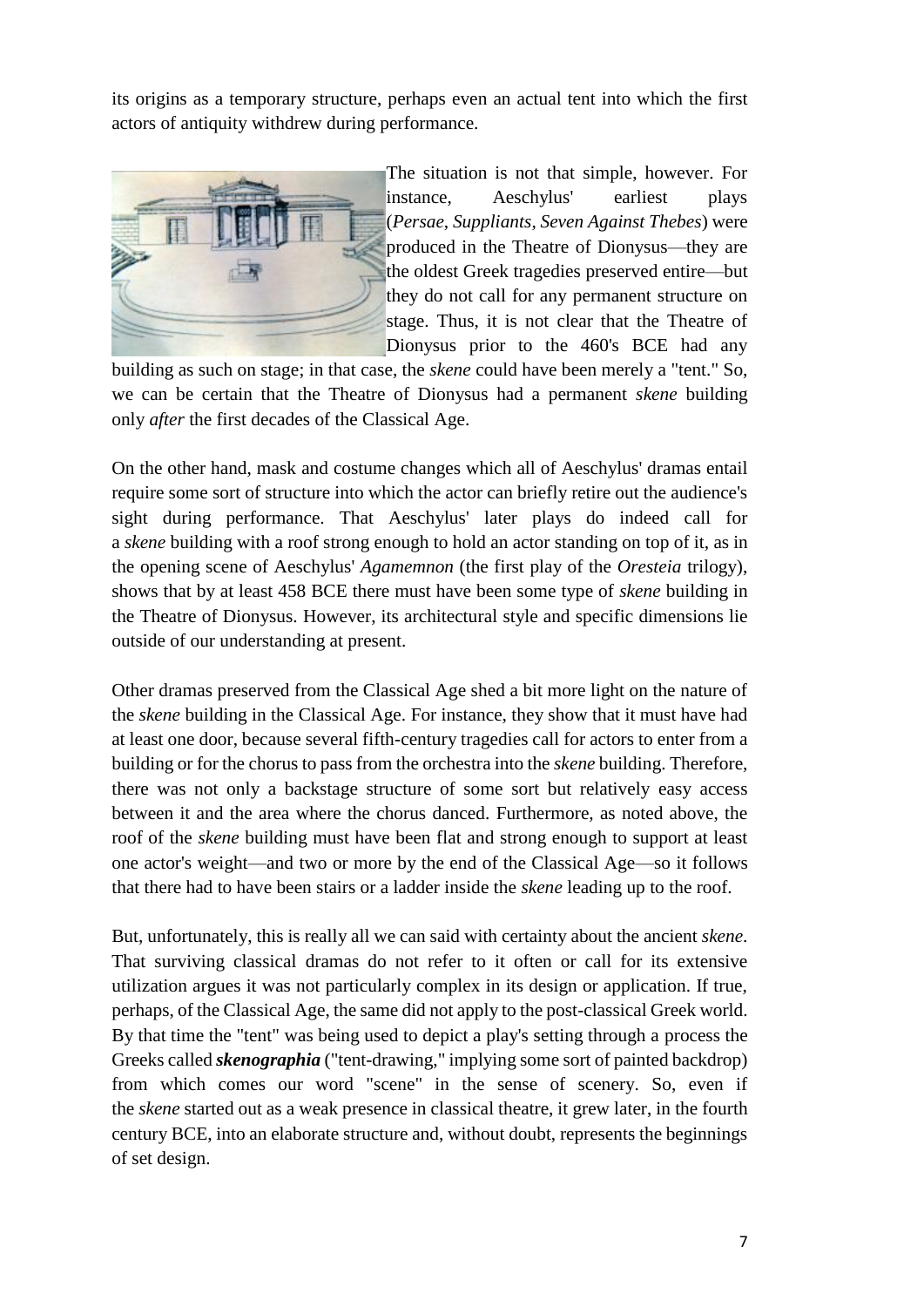# **D. What Greek Tragedy Looked Like: The Finale of Euripides'** *Orestes*

What is more certain and what we can see for ourselves is how classical playwrights utilized the *mechane* and other devices, and also the Theater of Dionysus as a whole. Their dramas, at least, give our speculations a guiding framework and become a laboratory of sorts for our reconstructions. A good example is Euripides' *Orestes*, his most frequently revived play in post-classical antiquity—so we are told in the ancient notes appended to this play—and a case study in extreme behaviors, psychotic personalities and theatrical brilliance. The finale of this tragedy shows how a master dramatist can utilize the stage tools at his disposal to create an gripping, panoramic crescendo of action in the classical theatre.



The play deals with the aftermath of **Orestes**' murder of his mother **Clytemnestra**, a famous saga in Greek myth. In the course of Euripides' play, Orestes is driven to despair because no one will help defend him, including the god Apollo who had originally ordered the young man to commit matricide, or so Orestes claims. When even his uncle Menelaus refuses assistance, Orestes at last goes insane, seizes Menelaus' wife, the beautiful Helen who had caused the Trojan War, and kills her or seems to, because the report of her death is inconclusive—and then, to ensure his own safety, Orestes kidnaps Menelaus' daughter Hermione, his cousin, and holds her hostage.



The end of the play is a study in the possibilities for producing spectacle in the Theatre of Dionysus. Euripides gradually fills the stage with characters one level at a time, literally from bottom to top. Eventually every possible acting space and virtually every resource at the disposal of a playwright in that day is in use.

The finale begins with the chorus alone on stage, singing and dancing in the orchestra at the bottom of the theatre. Next, Menelaus enters with his army, a secondary silent chorus. He—and they, too, presumably—stand on the main level of the stage before the door of the *skene* building. He demands that Orestes open the gates of the palace, but Orestes appears instead on its roof with several other characters: his sister Electra, his friend Pylades and Menelaus' daughter Hermione whom Orestes threatens to kill if her father tries to force his way into the palace. They quarrel and Menelaus gives the signal to attack. In response, Orestes orders his friends to torch the palace and kill Hermione.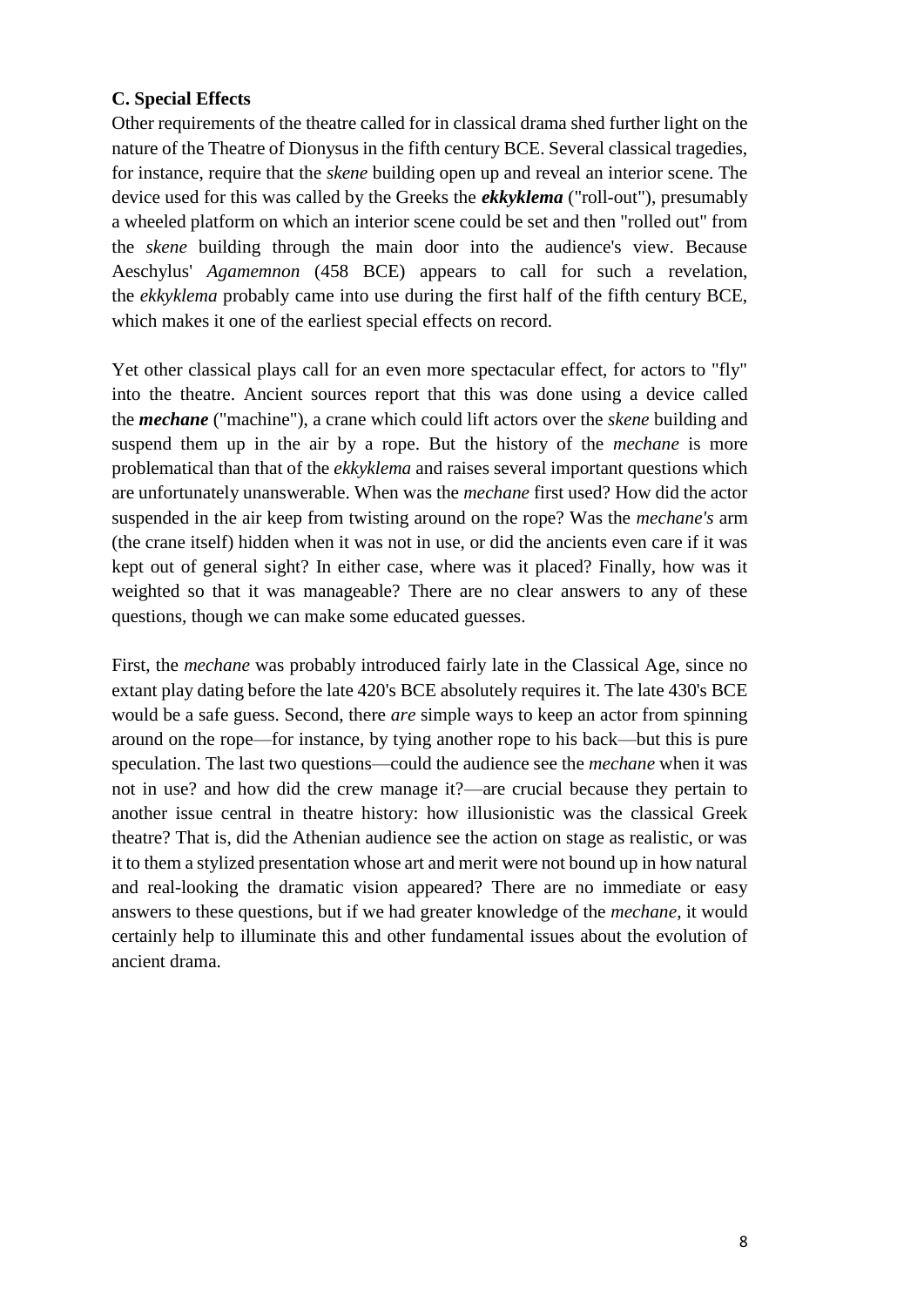Primordial chaos seems ready for its climactic close-up, when in flies the god Apollo on the *mechane*, soaring above the din and smoke. This solar deity—the divine personification of light, reason and, in this case, "better late than never"—does not, however, hover over Argos alone but has the not-dead-yet Helen, flying beside him in first class. He had just recently rescued her from Orestes' assault and turned her into a goddess so she can live with him.

The Greek stage is now packed as full as can be, with speaking characters on every level, in order from bottom to top: the chorus in the orchestra, Menelaus and his troops at the door of the *skene*, Orestes and his gang of kidnappers above them on the roof of the *skene*, and the gods, both new and old, swinging on the *mechane* over all of it. It is a very craftily orchestrated and deliberate sequence of action designed to lead to a visually stunning spectacle of pessimistic, or at least ironic, grandeur! And, if one counts the sun—which it is a safe guess was shining that day, or any day when there were plays being presented at the City Dionysia—there are, in fact, five levels of action, with the "star of stars," Apollo's ensign, beaming down impassively on all of this feeble human madness. [We will return to this tragedy [later.](http://www.usu.edu/markdamen/ClasDram/chapters/073gktrageur.htm#orestes) It is too theatrical and well-written to pass without a second glance.]

# **1.3 ACTORS AND ACTING IN ANCIENT GREECE**

Thus, Euripides' *Orestes* ends with what has to be one of most breath-taking scenes in all of Greek theatre, employing every resource the Theatre of Dionysus in the Classical Age had to offer—certainly, it is hard to imagine a tragedian of this era calling for much else—still, hard as it may be to believe, Euripides has more up his sleeve than this tragedic traffic-jam. To understand what that is, one must take into account the full dynamics of Greek performance. What modern audiences overlook, though ancient audiences would not have, is that there is one speaking character, or set of characters, on each level of the stage, from top to bottom: Apollo (*mechane*), Orestes (roof of the *skene*), Menelaus (stage) and the chorus (orchestra).

# **A. The Three-Actor Rule**

This demonstrates another important facet of the classical Greek theatre. Besides the chorus, only three actors performed all the speaking roles in tragedies produced at the Dionysia, although the authorities who oversaw these celebrations of Dionysus allowed on stage any number of mute actors. These non-speaking parts were probably played by young actors-in-training whose voices were not as yet fully matured and could not project well enough to be heard throughout the enormous arenas encompassed by classical theatres.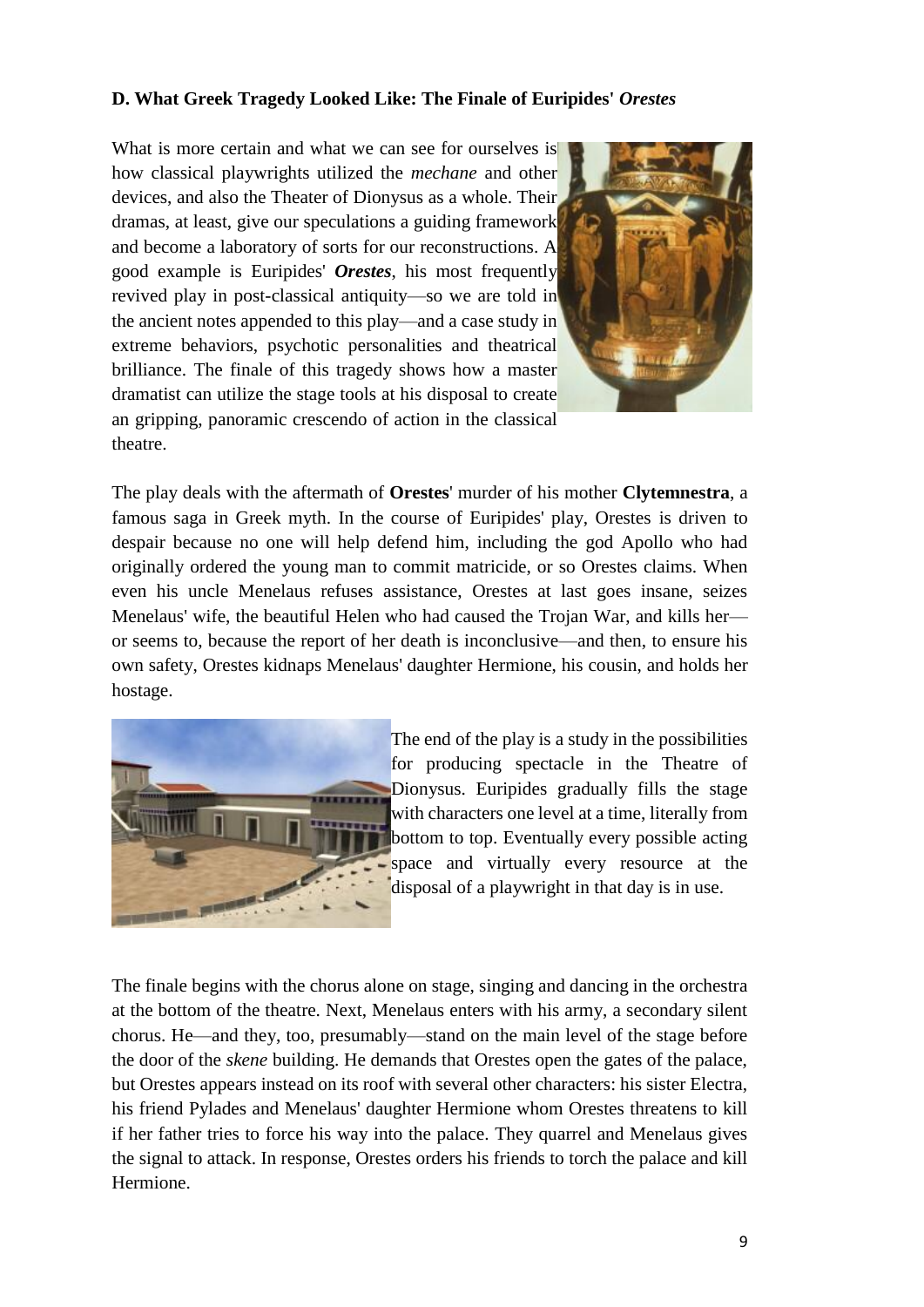

But all known tragedies include more than three speaking characters, which means actors must have taken more than one role in a play. While on the modern stage **multiple-roleplaying** may sometimes entail difficulties—audiences today who sit relatively close to the stage will naturally expect a high level of realism which may be all but impossible for the actor playing more than one role to effect—the same was not true in ancient Greece. Role-changing was perfectly practicable on the Athenian stage, not only because the majority of the viewers sat some distance from the stage but, more important, because the actors wore masks and costumes facilitating their ability to play different parts. That

is to say, within the scope of a single tragedy, an actor might portray as many as five different characters, sometimes *very* different ones, with relative ease since altering his façade through a change of mask and costume was a traditional element in Greek theatre.

Indeed, extant dramas prove that the ancient Greek actor was expected to be able to impersonate the full range of humanity, from young girls to old men, by adapting his voice and mannerisms, much as is still done in various types of Asian theatre. And, as in some performance genres found there, men played all parts, male and female [\(note\)](http://www.usu.edu/markdamen/ClasDram/notes/061/n0603.htm). As a result, the art of ancient acting centered around a performer's flexibility carrried out with the help of the masks and costumes which hid his own face and form from the audience's view.

Furthermore, it is clear that three actors portrayed all the roles in any classical drama, a tendency today called the "**three-actor rule**." That this was, in fact, a restriction scrupulously enforced at the Dionysia is also certain, and not just because later historical sources like Aristotle allude to it, but because the surviving dramas of this period show this rule in action. In other



words, the plays constitute ["primary"](http://www.usu.edu/markdamen/ClasDram/chapters/011intro.htm#detectives) evidence that three actors at most performed all the speaking roles in classical tragedy and satyr plays, for the simple reason that all such drama—even the surviving fragments!—require no more than three speaking characters on stage at once.

In addition, two other features of classical drama make it clear that there were only three actors playing all the roles. First, no extant tragedy staged before the end of the Peloponnesian War requires actors to share a part. That is, ancient Greek playwrights disposed the action in their dramas such that the characters assigned to any particular actor never converse on stage. That is, if one actor plays both Electra and Menelaus, those particular characters never meet and speak together in front of the audience. Second, the Greek tragedians invariably give actors a certain period of time off stage (usually the interval covered by about fifty lines of dialogue) to make mask and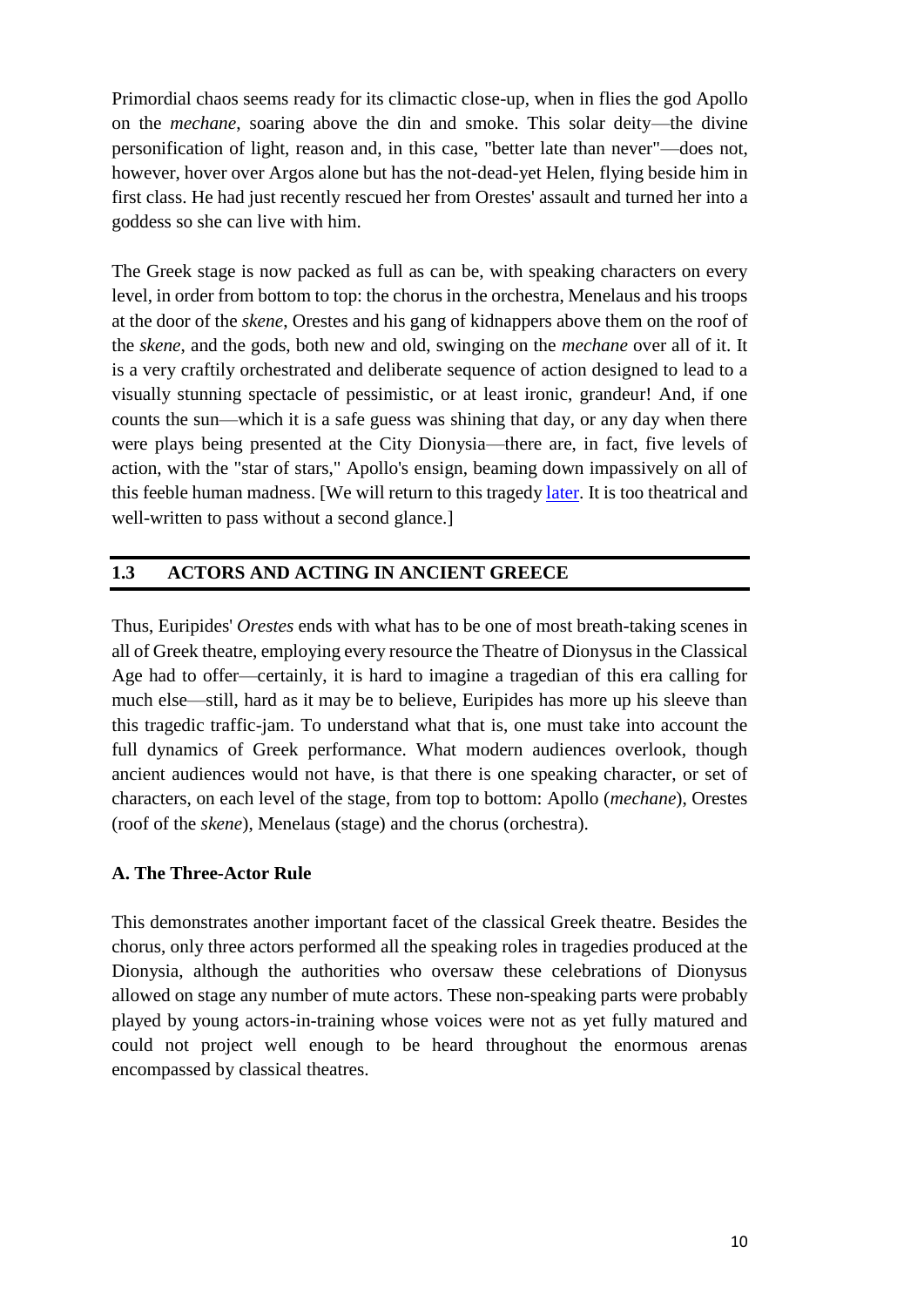costume changes. That comfort margin, so to speak, along with the other aspects of Greek tragedy mentioned above seal the case for the "three-actor rule."

Less clear is why there were only three actors. Presumably, having performers play more than one role was a traditional component of the Greek theatre, perhaps from the very inception of Greek drama when there was but one actor and a chorus. Thus, ancient audiences, no doubt, expected a certain amount of multiple-role-playing in a drama. But the reason the evolution in the number of actors stopped at three is a question for which there will probably never be a fully satisfactory answer, nor must there be only one reason for this rule. One credible explanation which almost assuredly had some force in the creation and maintenance of this restriction involves the religious element in ancient theatre, whose conservatism surely resisted change on all fronts including adding more and more actors to the stage. Equally compelling is, no doubt, the jealousy of premier performers in competition with one another for a prestigious honor at the Dionysia during the later half of the Classical Age. This must also have encouraged holding the numbers of speaking performers down. Envy among rival actors is one of the few reliable constants in the world of entertainment.

#### **B. Voices on Stage: Dialogue and Trialogue**

Whatever the reason, the three-actor rule is visible at work in the tragedies of all three playwrights, even the earliest, Aeschylus. Although he rarely has all three speaking actors on stage at once, he does so often enough—in his later tragedies, at least—that it seems likely he regularly had three actors at his disposal, or two if he himself is counted as one of the performers himself [\(note\)](http://www.usu.edu/markdamen/ClasDram/notes/061/n0602.htm). It is interesting to note, then, that his characters never engage in a **trialogue**—that is, all three actors conversing in a scene—even when there are three speaking actors on stage. So, for instance, during the confrontation between Agamemnon and Clytemnestra in Aeschylus' *Agamemnon*, the actors portraying these two characters speak to each other. Though another actor is on stage dressed as Cassandra (Agamemnon's Trojan concubine and prisoner-ofwar), that actor says not a word during this scene. Rather, he remains on stage silent for a long time and only finally speaks two scenes later. Thus, in the scene where Agamemnon and Clytemnestra have their dialogue, Aeschylus does, in fact, put three speaking actors together on stage, even if they do not all join in the same conversation and engage in a trialogue.

Why *doesn't* Aeschylus have all three actors speak together in that or any scene? Close examination of the nature of Attic theatre and the ramifications of its conventions pertaining to performance provides several good reasons for this. First and foremost, it is important to remember drama was a new art form in Aeschylus' day. It had most likely grown from a one-man show with a chorus as back-up—in the earliest recorded stages of tragedy, there is no mention of actors, only a playwright and a chorus, which supports the supposition that playwrights originally performed all the speaking character parts—to a two-performer and then a three-performer arena. From our perspective, this transition seems simple but in the day a play with so many actors on stage at the same time must have looked like a three-ring circus, especially to an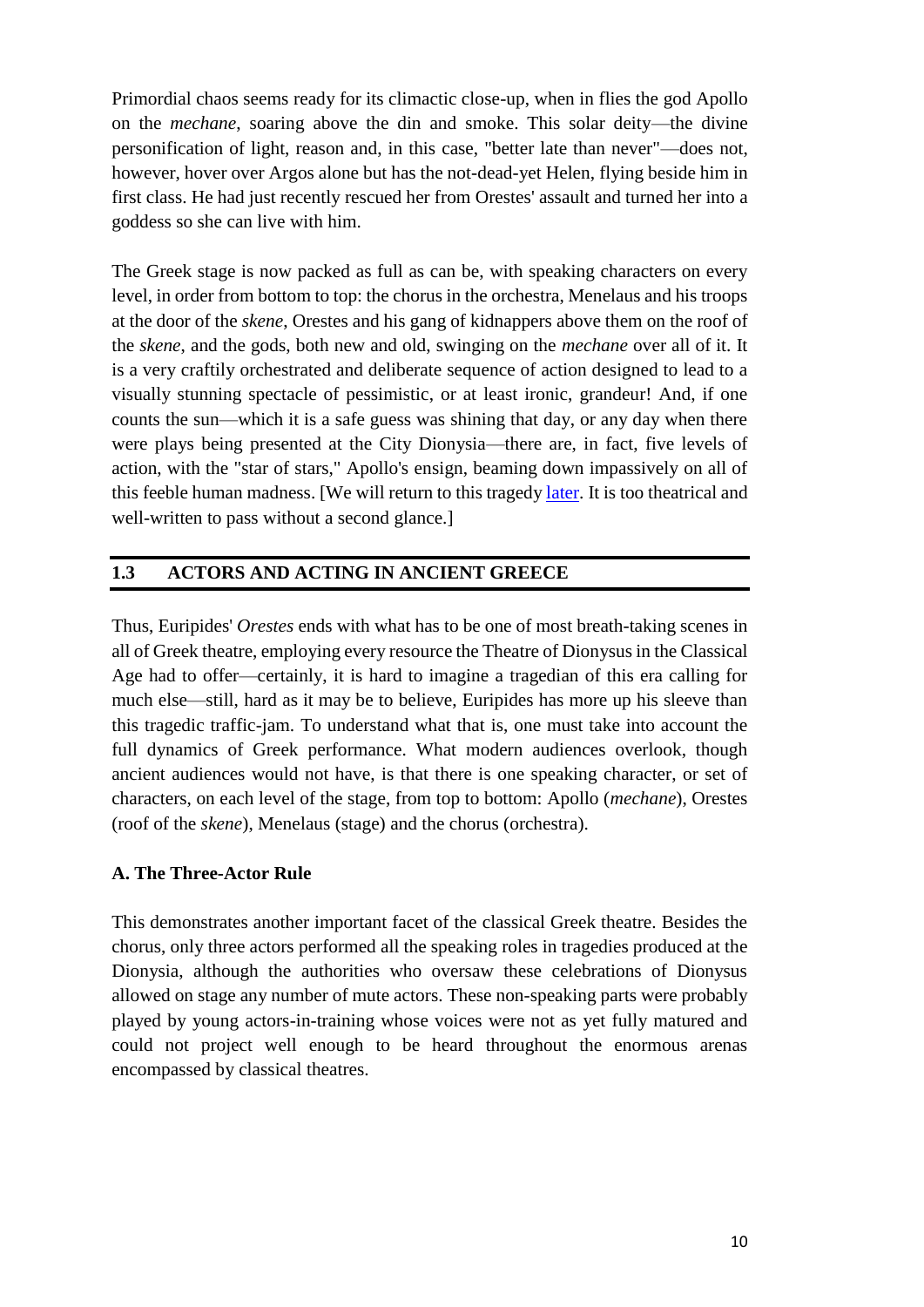audience accustomed to having only one "voice" present all the characters in a story, the way Homer and all epic poets did.

As a result, a conservative approach to dialogue is visible in Aeschylus' plays where, any time two characters have a dialogue, the situation is always carefully managed. For instance, the action leading up to a dialogue in an Aeschylean drama tends to proceed in the following manner: each of the speaking characters is brought in separately, they deliver discrete monologues (often punctuated by choral interjections), and only after some time do they at last exchange words back and forth. This cautious approach, as the playwright makes sure that the audience has heard both the actors' voices and understands the two characters' distinct points of view, confirms that in the early Classical Age the audience required some preparation before a conversation could take place on stage.

Historically, this makes sense as well. If we can believe Aristotle who claims the second actor was the invention of Aeschylus, dialogue of this sort did not exist until the 490's BCE at the earliest. Seen that way, playwrights in the earliest phases of Greek drama would have resembled the epic poets who dominated public performance in the Pre-Classical Age, except that these playwright-bards had a chorus behind them and dressed to fit the roles they were impersonating instead of merely narrating what happened or was said. Epic poets, after all, could not have performed dialogue the way it was done in tragedy since only one of them performed at a time. Nor could playwrights in the earliest phase of tragedy, until the day Aeschylus introduced the second performer and the first actor-to-actor dialogue.

Yet to have the capability of doing something in the theatre is one thing and to carry it off on stage is another. The audience must be able to follow what transpires on the stage and enjoy it, or what is the point? The glaring realism of a stage dialogue surely appeared quite startling to Aeschylus' audience, accustomed as they were to a solo poet supplying all the individual characters' voices in a performance. To have a pair of men doing this would have looked to an ancient audience like there were two epic poets performing at once, a wonderful notion but also a situation fraught with the possibility of confusing audience members about what exactly was unfolding before their eyes. That explains why Aeschylus is invariably circumspect in approaching dialogue. He must be careful not to lose his audience in the course of the performance, for instance, by having two characters walk on stage speaking in rapid exchange, something which would almost certainly have over-taxed his audience's ability to follow what was being said on stage and by whom.

Another aspect of tragic discourse supports the view that the spectators of early Greek theatre needed help in following any discourse significantly more complex than a simple exchange of speeches. As poetry, the rhythms of dialogue in tragedy were somewhat predictable to the audience, especially if changes of speaker occurred at breaks in the poetic meter, the way, in fact, they regularly do in classical tragedy. That is, typically one character speaks a single full line of meter, and the other says the next and then the first another and so on, in a type of interchange called **stichomythy** (in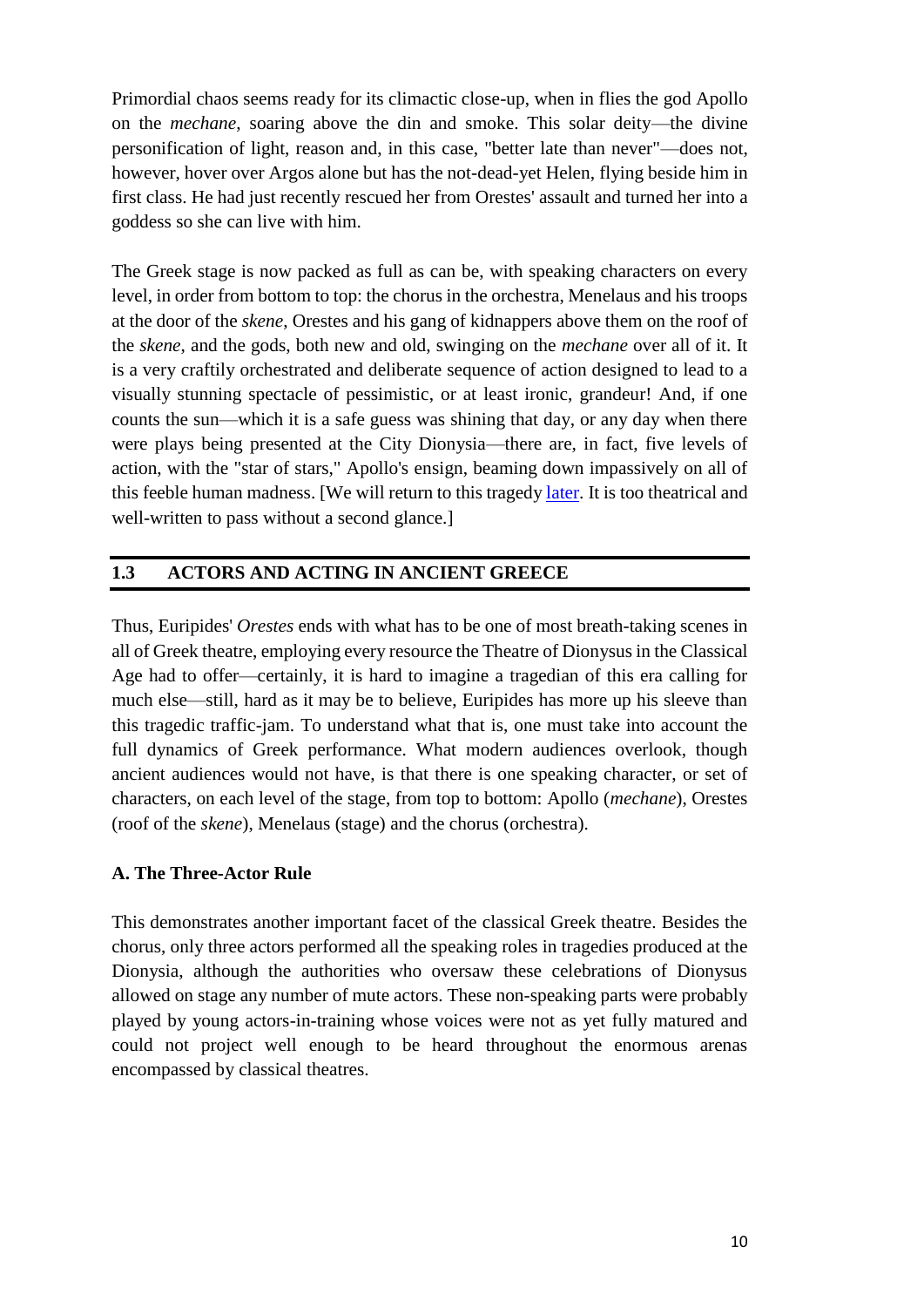Greek, *stichomythia*, "line-talking"). This clear and predictable pattern of exchanges of dialogue line by line helped the ancient audience understand which character was talking at any given moment, because they knew in advance when one character would stop speaking and the next one would begin.

Stichomythy is also a natural product of the venue in which it played. The size of the theatres in which Greek dramas were presented put most spectators some distance from the action—add to that the fact that the actors were wearing masks so that, even if seated close to the stage, viewers could not see the performers' lips moving—thus it's easy to understand the need for such a stylized conversation device as stichomythy. Careful preparation before a dialogue and a predictable exchange of words would have greatly improved the audience's ability to follow a conversation on stage, especially when presented with masked actors who were playing in an immense arena. Given all that, most spectators would have benefitted greatly from any help determining which character was talking at each particular moment.

And then, to have yet a *third* speaker enter the conversation would, no doubt, make the situation all but hopelessly hard to follow, certainly for an audience as new to drama as Aeschylus'. It says something for their heirs that only a generation later Sophocles' audience was apparently able to follow a trialogue. That, however, may have had as much to do with the growing talents of the performers who helped viewers grasp which character was speaking—actors with distinctive voices would have facilitated the process greatly—as with the ancient Greek audience's increasing sophistication in following theatrical conventions. Moreover, the growing general interest in theatre surely also stimulated both actors and their public to look for ways of getting around these obstacles.

Playwrights, too, may not have entirely deplored the limits imposed on them by this situation. Aeschylus' plays, for instance, show more than just a mastery of this technical aspect of his medium. Clearly he also had fun in the process of creating drama which used a restricted number of actors—close examination of his plays suggests he may even have *liked* it!—because in the aforementioned sequence of scenes that include the confrontation between Agamemnon and Clytemnestra in *Agamemnon*, it appears that Aeschylus is playing with his audience's expectations about how many speaking actors are on stage, indeed taunting them with the very possibility of a "third" speaking actor, which was perhaps a novelty in that day.

In particular, he toys with his audience as to whether or not Cassandra will speak. At first, in the Agamemnon-Clytemnestra confrontation, her first appearance on stage, Cassandra does not say a word. Nor does she again in the next scene, when Clytemnestra attempts to speak with her one-on-one. Although Cassandra's silence is well-motivated by the plot—she is a prophetess and sees what is going to happen, that Clytemnestra is about to kill both her and Agamemnon!—her muteness plays on another level also. What Aeschylus appears to be doing, as Cassandra refuses to speak first in one scene and then again in the next, is baiting the audience into supposing that Cassandra is not being played by a speaking actor but only a mute. After such a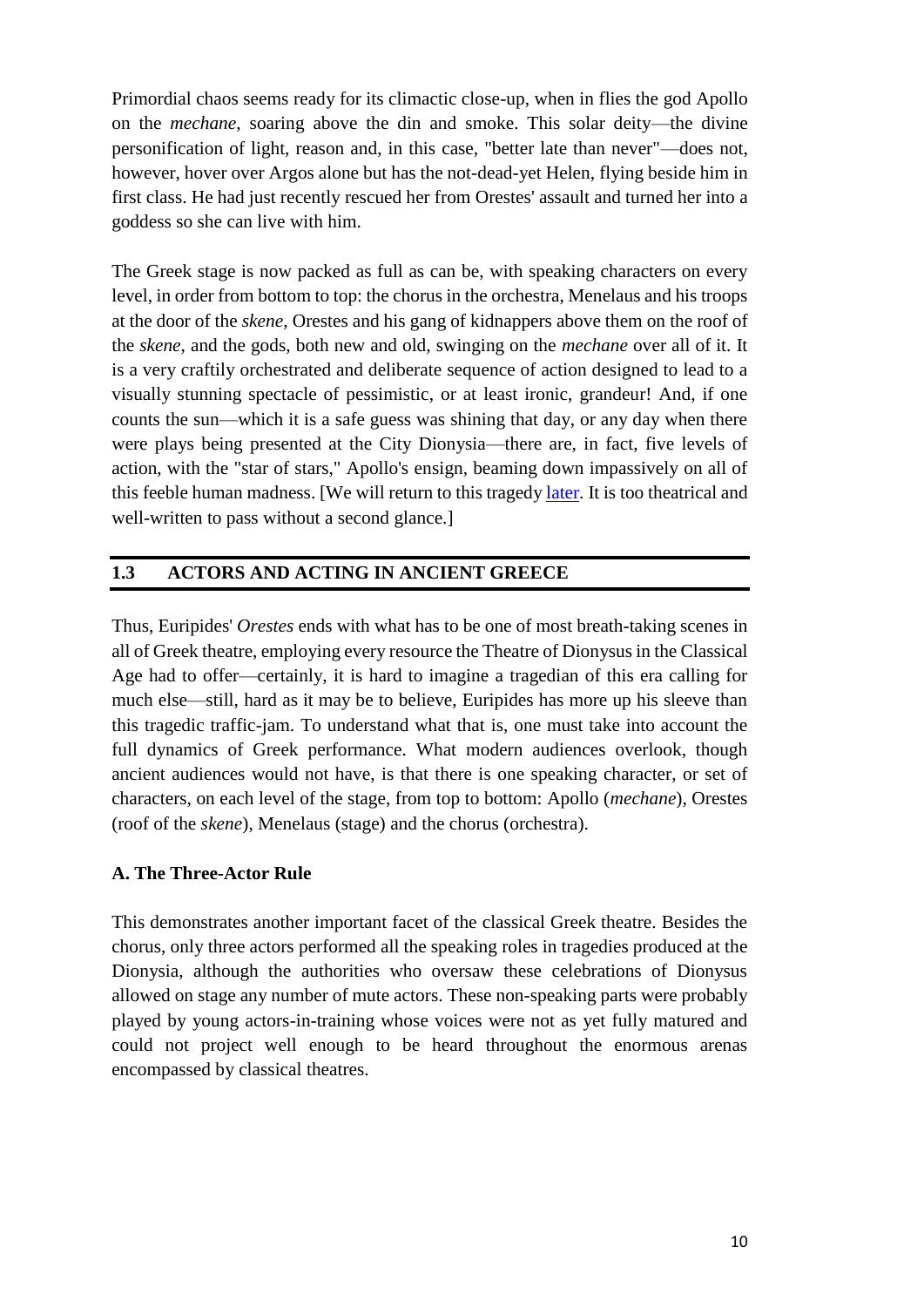prolonged silence and her pointed refusal to converse with Clytemnestra, many of those in Aeschylus' audience would, no doubt, have arrived at the conclusion she will never speak in this play because the role is not being played by a speaking actor.

But then just as this appears to be the case, Aeschylus has her at long last break into speech—actually song!—followed by an extended and moving scene on stage between her and the chorus. It is tempting to suppose some great actor-singer of the day has been hiding behind the mask and costume of Cassandra so that this character's long-delayed eruption into song is Aeschylus' ploy with which to surprise and dazzle the crowd.

This goes some way toward explaining the meaning of the verbless sentence in Aristotle's *Poetics* (4) that Sophocles, not Aeschylus, introduced the "third" actor to tragedy. If we assume, as noted above, that in glancing over Aeschylus' plays Aristotle saw that there were no overt trialogues and from that concluded Aeschylus did not use three actors, then it is easy to surmise he has failed to envision fully the action of Aeschylus' drama theatrically and has overlooked the presence of temporarily silent "speaking actors," a very different thing from true "mute actors" who portray characters that never speak on stage.

A detail found in an ancient biography of Sophocles may further corroborate the assertion that Aristotle has failed to assess the data correctly. Though replete with spurious assertions, this purported account of the great tragedian's life includes what seems to be at least one detail validated from other quarters. It suggests that the great tragedian did not act in his own plays because he suffered from *microphonia* ("smallvoicedness"). Other sources, both documentary and artistic, support this general idea. For instance, Aristotle tells us that, when Sophocles acted in his own plays, he played only minor roles such as a lyre player, which makes sense if the playwright lacked a voice powerful enough to perform the great and demanding roles written for the Greek stage. In further support of Aristotle's assertion, we are also told that a famous painting in antiquity showed Sophocles playing the lyre. With such corroborating evidence there is some basis, then, for believing the biographical record is accurate about his *microphonia*. If so, it becomes easier to understand why Aristotle might credit Sophocles with introducing a third actor to the Greek stage, since in those days a man with a weak actor's voice—though it is hard to imagine anyone having a stronger *playwright's* voice!—would have to do something to compensate for such a fundamental deficiency.

So, if by "third actor" Aristotle means "third non-playwright performer," then his words can be seen as technically correct. Indeed Sophocles, because of his *microphonia*, may have been the first to bring a "third" actor on the stage, but that does not mean he inaugurated the tradition of having three speaking characters on stage at the same time. *That*, in fact, was Aeschylus' invention. Seen this way, the dramatic evidence can be brought into line with Aristotle's statement which is now valid, if needlessly terse and uncharacteristically confusing.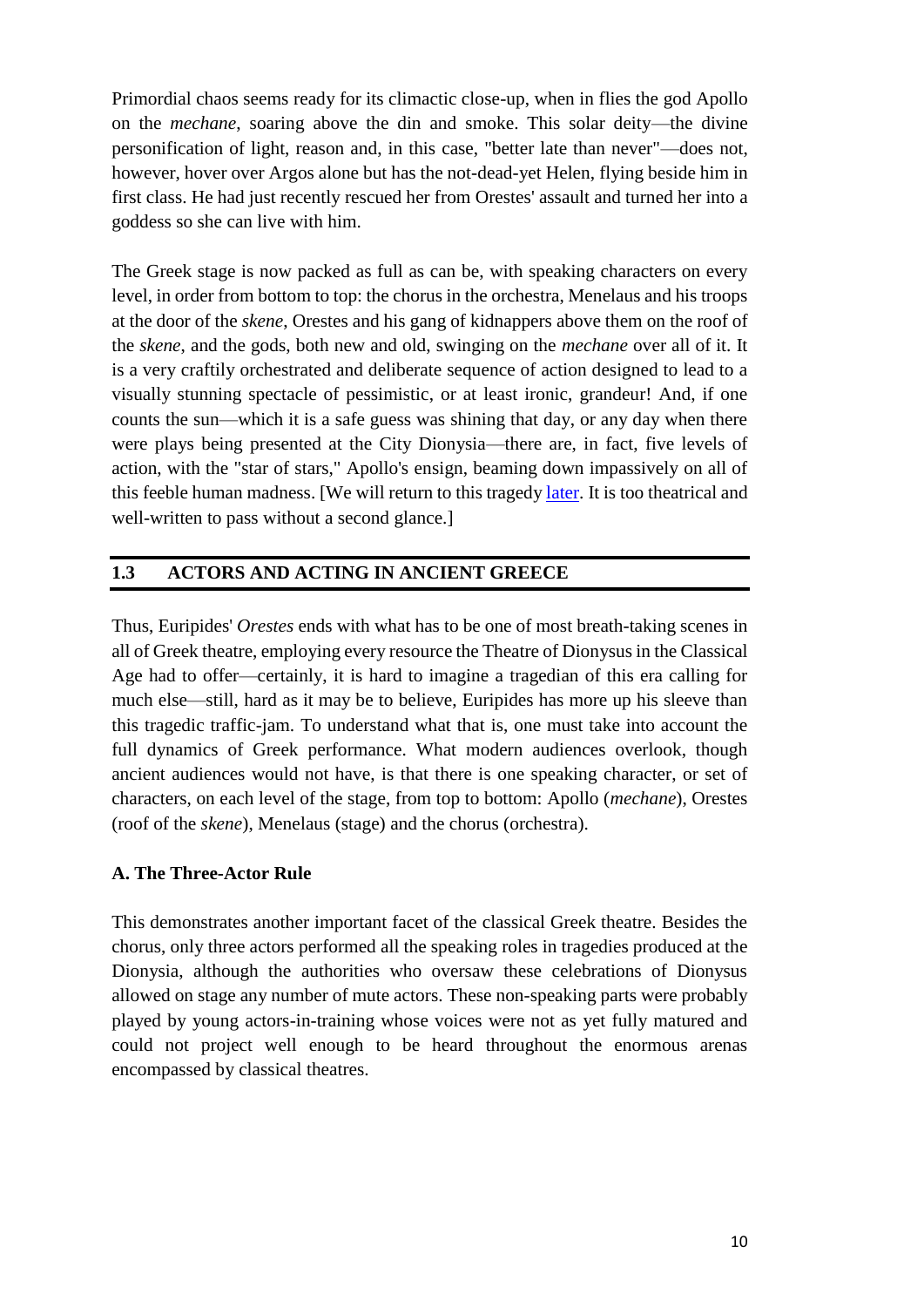But there's more to Sophocles' situation than counting actors. In surrendering the stage entirely to "actors," i.e. men who performed words which others had written, he became the earliest known "modern" playwright, in the sense that he is the first dramatist we know of who watched his own plays from the *theatron*. This, in turn, goes some way toward explaining another feature of his drama, his eye for creating complex, multi-layered action on stage where silent or minor characters play important roles. This is surely the product of his being a script-writer who sat with the audience taking in the show like any other ticket-holder. That is, in imagining a play he watched it the way a spectator would, not from inside a mask as Aeschylus and all his predecessors had. So, if not an innovator in the actors' arena, Sophocles deserves credit for seeing drama from the audience's vantage point to which the compelling complexity of his stage action attests, where irony and characters in the background often comment on what's happening front and center, and sometimes even upstage it. By the middle of the century, actors were installed as a fixture in the Athenian theatre. At some point in the 440's BCE they started receiving their own awards at the Dionysia, a clear recognition of their growing role in theatre. That this began shortly after Sophocles separated playwriting and acting should come as no surprise. No longer the subordinates of a playwright who hired them so he could have a dialogue partner, actors were becoming their own independent artists, much as they are today, and without the playwright to outshine them on stage their prestige ballooned. Indeed, by the fourth century the best-known names in theatre, stars like Polos and Neoptolemos, belonged not to playwrights but actors.

Around that time, the theatre which has never been without its caste systems evolved a hierarchy of performers. Later—perhaps *much* later since we do not know the date separate words were coined referring to the three different actors: **protagonist**, **deuteragonist** and **tritagonist**, meaning respectively "first competitor," "second competitor" and "third competitor." In post-classical Greece, these terms came to carry connotations of quality, too. So, for instance, tritagonist could imply "third-rate." But it is not clear if any of this was true in the Classical Age. Even so, we know that the discrimination among these performers goes back well into the fifth century BCE because, from the very outset of awarding actors a prize at the Dionysia, only the principal actor was granted an award, not his co-performers.

Finally, this attests to something else very important about the evolution of acting in the classical theatre. The fifth-century audience must have been able to distinguish different actors on stage even when those performers were wearing a mask on stage. In order to be able to recognize the work of an individual actor—and *only* him, not his colleagues!—his public had to have had the ability to follow him through his roles in drama. Furthermore, some classical actors were famous and well-known by name. If audiences could not distinguish them as they played a series of roles on stage, how could they come to respect and admire them? It could not have been by face or figure, the way modern actors are most often recognized, because an ancient actor's features were not visible on stage. Instead, the voice must have been the actor's principal tool, an absolute necessity in his artistic arsenal, so it must have been through their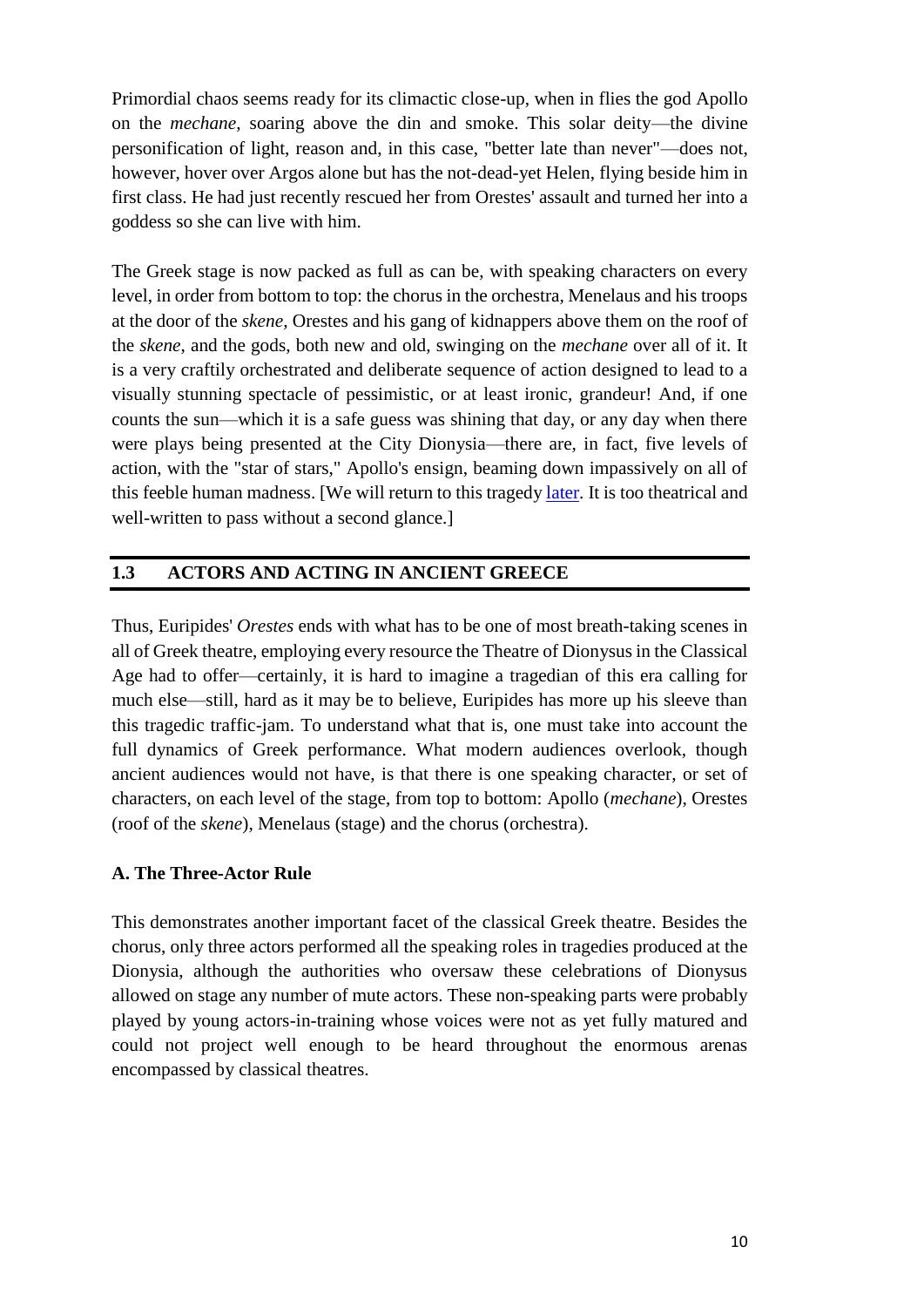distinctive and powerful voices that Greek actors made their mark on the world, more like today's opera singers than movie stars.

# **C. Producers and Sponsorship**

Last but not least, the organization and sponsorship of the Dionysia and the Lenaea, the principal dramatic festivals in Athens, evolved drastically over time. While it is hard to keep track of all the changes that took place in just the first two centuries of institutional theatre at this venue, there are some constants. Until the Hellenistic period (ca. 300 BCE), playwrights and their casts were sponsored by a producer of sorts, called a *choregos* (plural *choregoi*), literally "the chorus leader," who underwrote the funding that allowed a play to reach the stage. Usually a rich man who was required by law to perform some kind of public service, the *choregos* was a producer of sorts who was handed the duty of housing and feeding the chorus for the entire duration of rehearsal and production. He also bought the costumes, props, set pieces and anything else deemed necessary for the show. It could be a very expensive endeavor, but it could also reflect well on his civic-mindedness and sense of duty to state.

Moreover, even from the earliest days of the Dionysia a winning *choregos*' name was recorded on stone memorials set up in public places, which made the expense of

production a potentially good advertising investment. Quite a few of these "angels" over time put on lavish spectacles and won widespread acclaim for doing so, with which came other advantages. For example, if he fell later into some sort of legal trouble and was taken to court, a former *choregos* could remind the jury, composed largely of men who had seen "his" show, that he had once hosted a great entertainment for the state. To judge from how often such things are mentioned in the records of ancient Greek law suits, the argument must have worked.



Fig. 140. Theatre tickets

The exact nature of the selection process by which playwrights and *choregoi* were brought together is not clear. Nor are any of the administrative procedures surrounding the City Dionysia, including many things we would like to know, such as the exact methods used in awarding prizes to plays. To make matters even worse, the means of matching playwright and producer seems to have changed over time, though certain features of the process stand out throughout the fifth and fourth centuries. For instance, while the *choregos* funded the enterprise, it was the playwright who was in charge of the production for the most part in the Classical Age. From early on called a *chorodidaskalos* ("chorus teacher"), the playwright apparently "taught" the chorus its songs and dances and oversaw the rehearsal process in general, even if he did not pay for it out of his own pocket.

But by the fourth century BCE, as we noted above, the playwright's role in drama had diminished greatly and actors had become the principal attraction in Greek theatre. As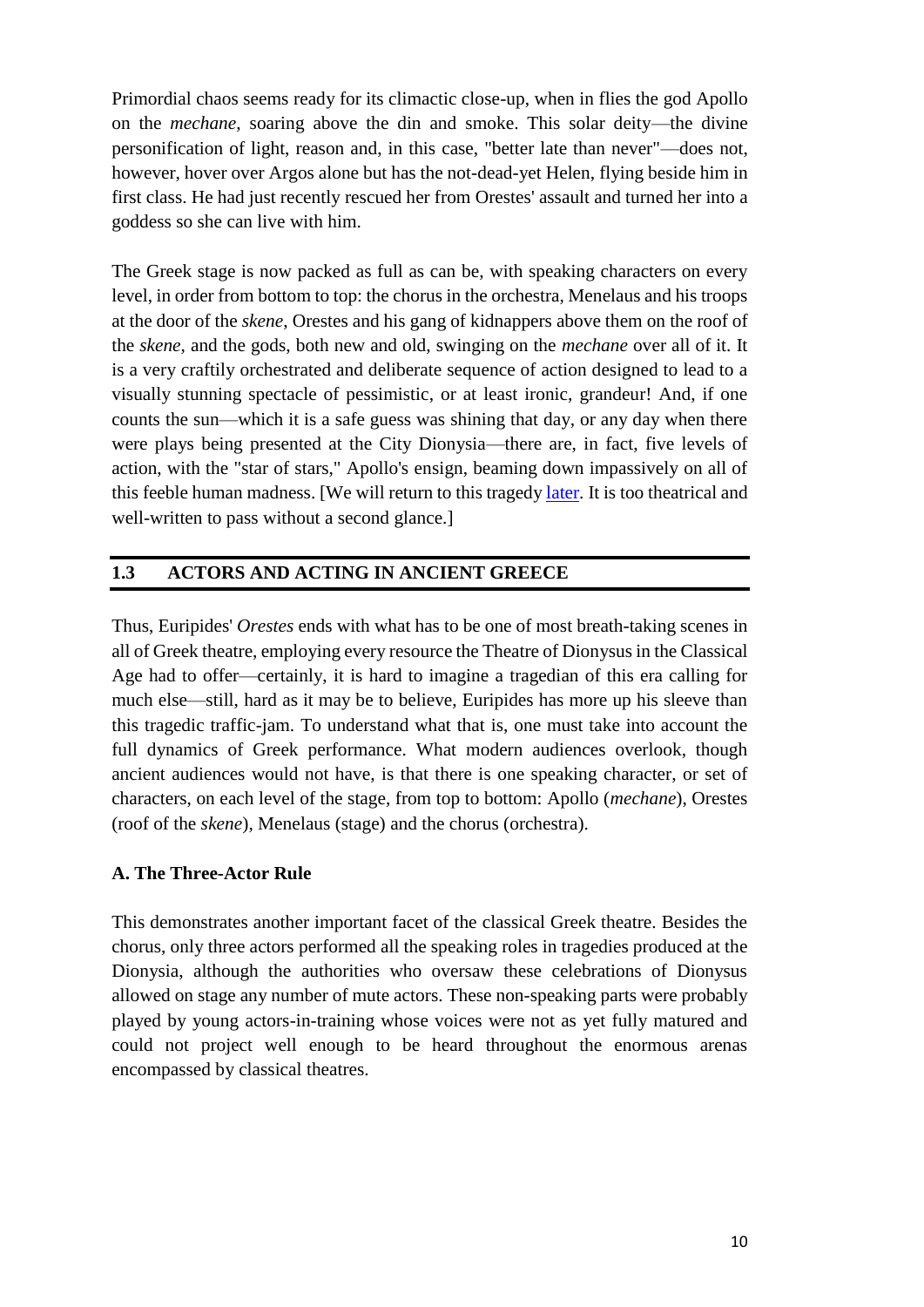such, they began to assert their will over productions. How the theatre evolved from there is even harder to reconstruct, but in general it seems safe to say that the material remains of ancient theatre and the historical sources relating to it, as well as the extant dramas themselves, show a living, evolving art form which, maddening as it is to pin down, was a vibrant and vital part of the ancient Greeks' world: an echo of their heartstrings, a mirror of their souls and a banquet for their minds..

# **1.4 LET US SUM UP**

Artistic consideration in playwriting requires selection and arrangement. Art is skill acquired by experience, study, and clear observations. Playwright must consciously set about making choices with a competent plan and creative imagination. Omly then that we consider the playwright work as a viable start to the theatrical process. Before anyone begins to write a play it is important to understand the medium for which you intend on writing. Writing for the stag demands an understanding of two fundamentals: the essence of drama and the nature of theatre.

# **1.5 CHECK YOUR PROGRESS**

1. What was the primary focus of much of the culture of the city of Sparta? …………………………………………………………………………………… …………………………………………………………………………………… …………………………………………………………………………………… …………………………………………………………………………………… …………………………………………………………………………………… ………………………………………. 2. Which of the following statements best describes the historical significance of Ancient Greece? …………………………………………………………………………………… …………………………………………………………………………………… …………………………………………………………………………………… …………………………………………………………………………………… …………………………………………………………………………………… ………………………………………. 3. What are the primary focus of much of the culture of the city of Athens? …………………………………………………………………………………… …………………………………………………………………………………… …………………………………………………………………………………… …………………………………………………………………………………… …………………………………………………………………………………… ……………………………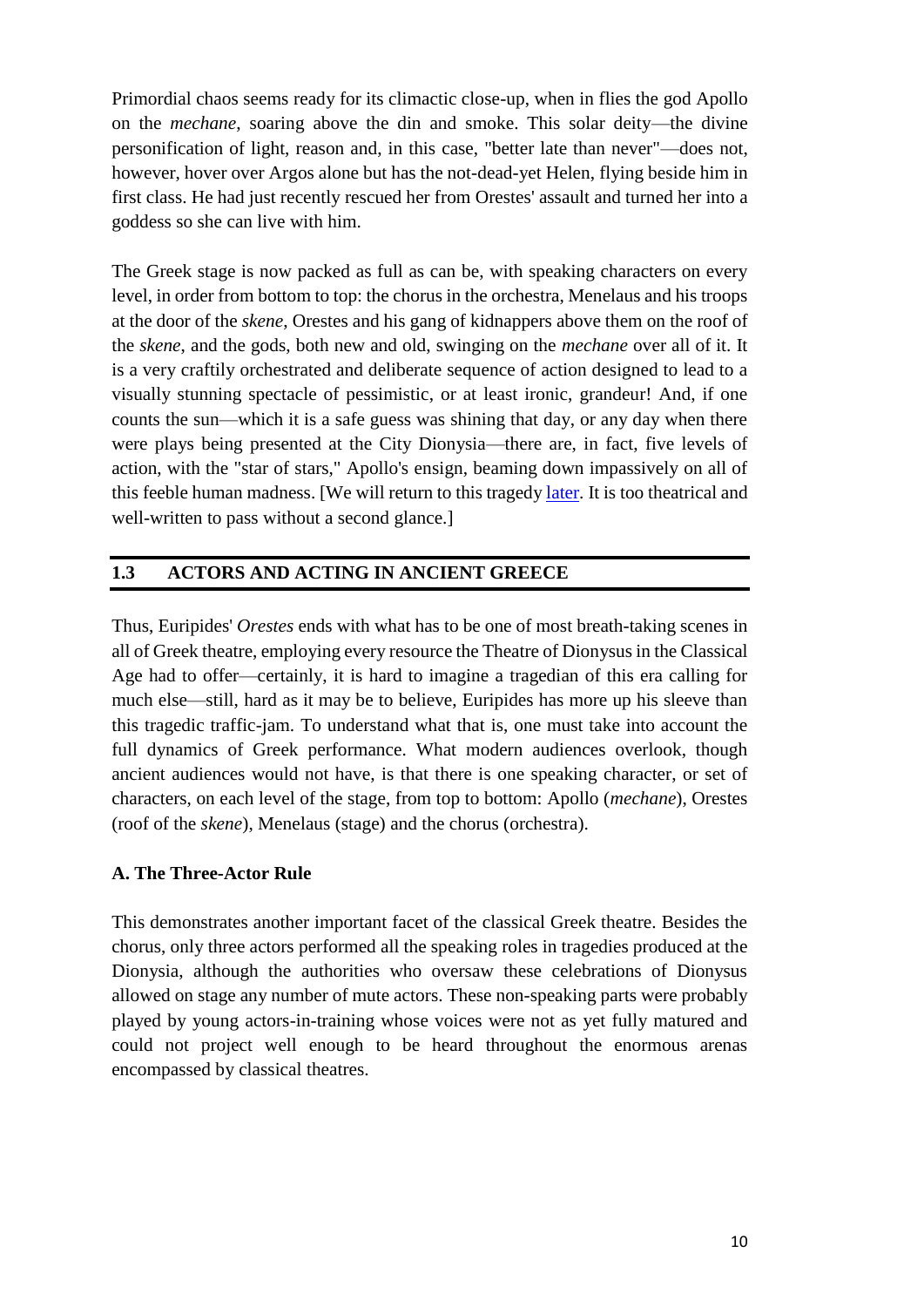# **UNIT-2 THE CLASSICAL AGE OF GREECE**

# **Structure**

- 2.0 Objective
- 2.1 Introduction
- 2.2 Introduction: The Persian Wars and the Beginning of The Classical Age
- 2.3 The Classical Age
- 2.4 The Peloponnesian War and the Post-Classical Age
- 2.5 Let Us Sum Up
- 2.6 Check Your Progress

# **2.0 OBJECTIVE**

In this unit we will learn about :

- $\triangleright$  The Greeks that came up with history in the same sense that the term is used today, namely of a story (a narrative) based on historical events that tries to explain what happened
- $\triangleright$  Why it happened the way it did?
- $\triangleright$  In other words, history as it was first written by the Greeks is not just about listing facts, it is about explaining the human motivations at work in historical events and phenomena.
- $\triangleright$  Likewise, the Greeks were the first to systematically employ primary sources.

# **2.1 INTRODUCTION**

During the Classical Age that the Greeks arrived at some of their great intellectual and cultural achievements. The Athenian democratic experiment is, of course, of great historical importance, but it was relatively short-lived, with democratic government not returning to the western world until the end of the eighteenth century CE(!) In contrast, the Greek approach to philosophy, drama, history, scientific thought, and art remained living legacies even after the Classical Age itself was at an end.

# **2.2 INTRODUCTION**



The Persian Wars and the Beginning of the Classical Age **Pisistratus**, the tyrant of Athens during the last half-century of the Post-Classical period, died shortly after he had instituted the City Dionysia. His sons inherited his power but, not having their father's sense of creating coalitions, were forcibly removed from power soon after 512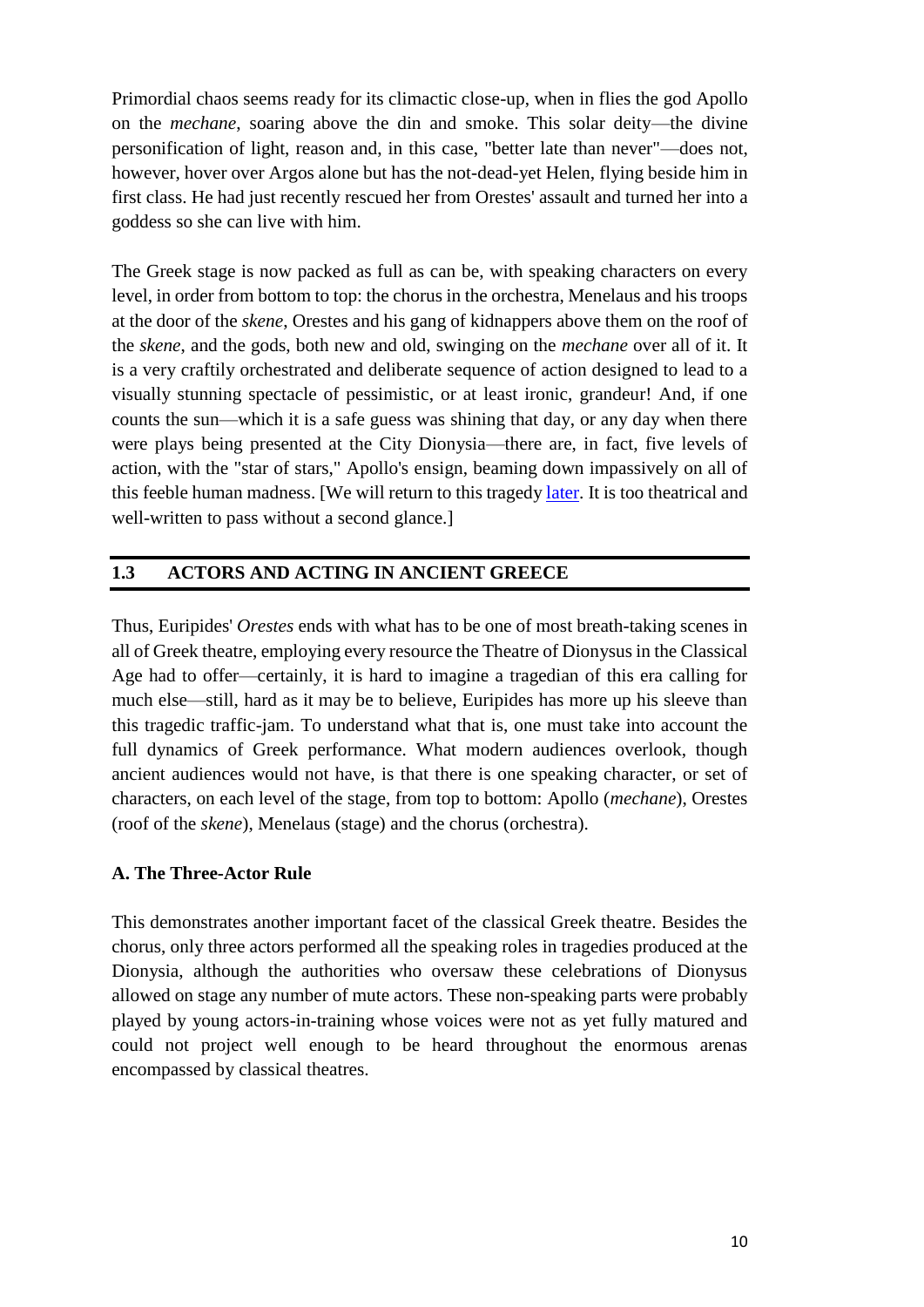BCE. It is not clear what happened next, but it must be in these years of unrest and disorder (510-508 BCE) that democracy first emerged in **Athens**.

For all the changes that may seem to entail, much remained the same. The rituals and festivals, quite a few of which the tyrant Pisistratus had introduced and promoted, continued on through the chaos of massive governmental reform, the City Dionysia being no exception. By the early days of the fifth century (the 490's BCE), the Athenians had settled into their new type of



government where the general populace exerted direct control of the city through assemblies and the enactment of laws, and governmental measures regularly came to reflect the will of the majority.



But this new democratic regime hardly had a chance to catch its breath before it faced the greatest crisis Greece was to confront in the early **Classical Age** (the fifth century BCE). The massive and powerful Persian Empire attacked Greece, not once but twice. These two socalled **Persian Wars** (490 BCE; 481-479 BCE) are the primary focus of Herodotus' *Histories* and make some of the most fascinating reading of all time.

It is not possible to do the Persians Wars justice here, only to note that, grossly outnumbered and vastly out-armed, the Greeks managed in both wars to push the Persians out of Greece mainly by setting aside traditional internal differences and fighting together for their common independence. It was, no doubt, the finest hour in ancient Greece and just about the only time the Greeks made common cause in antiquity. [Click [here](http://www.usu.edu/markdamen/1320Hist&Civ/chapters/02HEROD.htm) for more information about Herodotus and the Persian Wars.]

# **2.3 THE CLASSICAL AGE**



Athens emerged from the Persian Wars triumphant. Using their navy and merchant marine, the Athenians took control of the seas around Greece. With renewed prosperity and a keen sense of their own importance in international affairs, they set about repairing the damage incurred during the wars and extending the traditions established prior to the Persian invasion, in particular, drama, painting and architecture.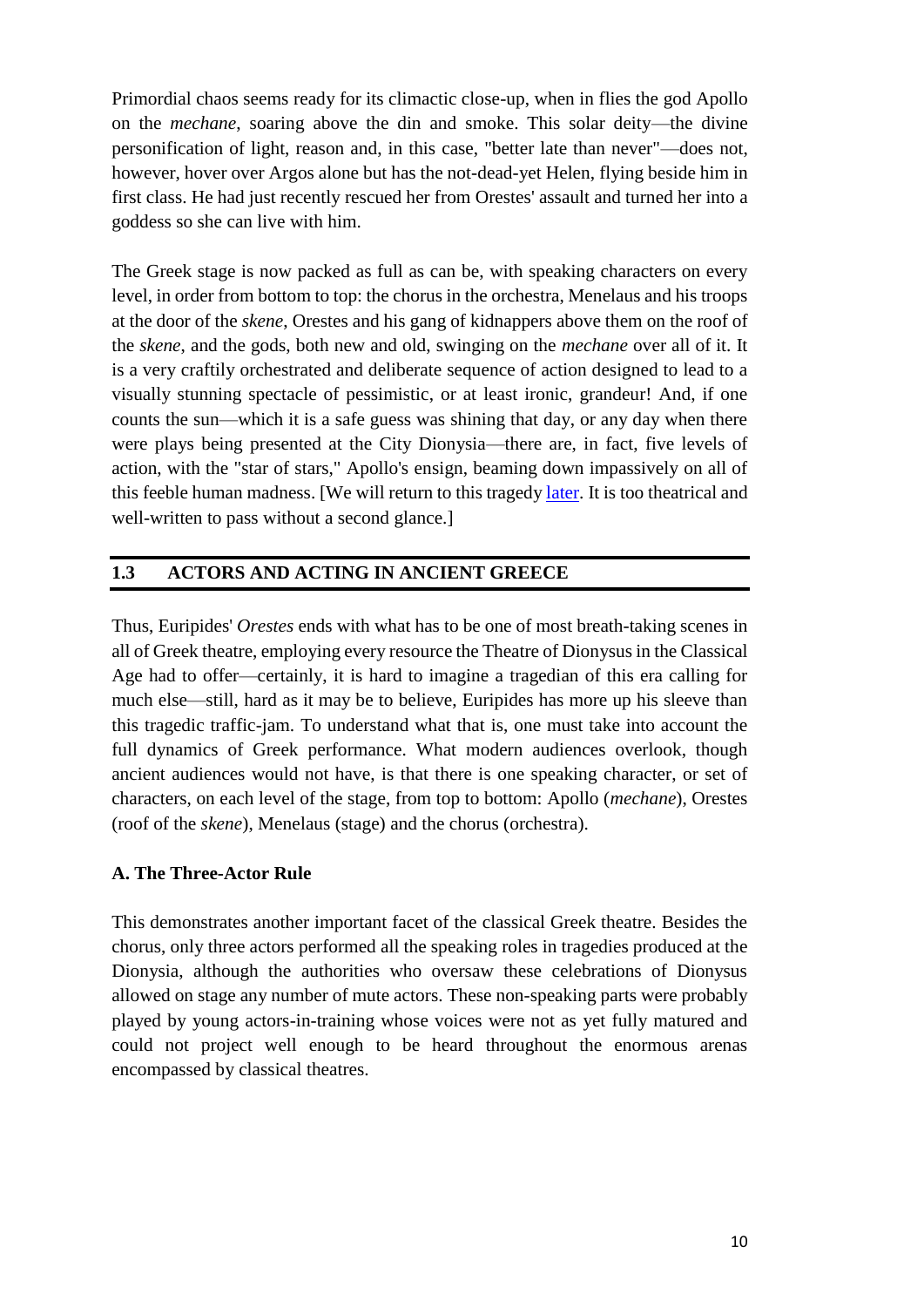Part of the reason for this surge in the arts was the confidence born of victory and independence. In antiquity, to win a war was to gain the assurance that one's gods were pleased, which meant that the ceremonies and celebrations performed in their honor must be to their liking. From that vantage point, it only makes sense to continue and even extend them.

Thus, the Classical Age was scion and heir of a sense of righteous vigor. Led by **Pericles**, a man who had to be reelected to office every year but who was nonetheless firmly in control of Athens for much of his life, the Athenians set



about expanding their commercial interests. Wealth soon poured into the city from an alliance called the Delian League which they had formed after the war for the benefit of all Greece, but their own mostly.



This new prosperity fostered many different cultural endeavors. The **Parthenon**, for instance, rose on the site of an old wooden temple to Athena on the **Acropolis**, the natural outcropping of rock in the middle of the city. During the Second Persian War, the Persian king Xerxes had burnt the old temple to the ground, a destruction which, devastating as it was, opened the way for

a new, more modern and more elaborate shrine to the patron goddess of Athens. [Click [here](http://www.usu.edu/markdamen/1320Hist&Civ/chapters/05SPACES.htm#parthenon) for more information about the Parthenon and other sacred spaces in antiquity.]

On the intellectual front, the best thinkers in the Greek-speaking world also flocked to Athens and imported a new way of looking at life dubbed **philosophy** ("love of wisdom"). At first these socalled **sophists**—the term originally meant "craftsmen"—became teachers and popular lecturers and then began to uproot the traditional modes of thought and later morality in Athens. Sophist as a moniker eventually came to be a slur implying "quack" and "charlatan," but there was no denying, at least at the outset, that these "artisans" taught valuable skills which won for their students many a law suit and much political advancement.



Underlying most of the sophists' tenets was a sense of relativism, that there is no fundamental good or bad, a dangerously cynical posture that bordered on atheism and threatened to erode the moral

structures on which civil order, especially in a democratic society, depends. One sophist, the most famous, **Protagoras**, went so far as to say, "Man is the measure of all things." This maxim became the byword of the increasingly humanistic Classical Age.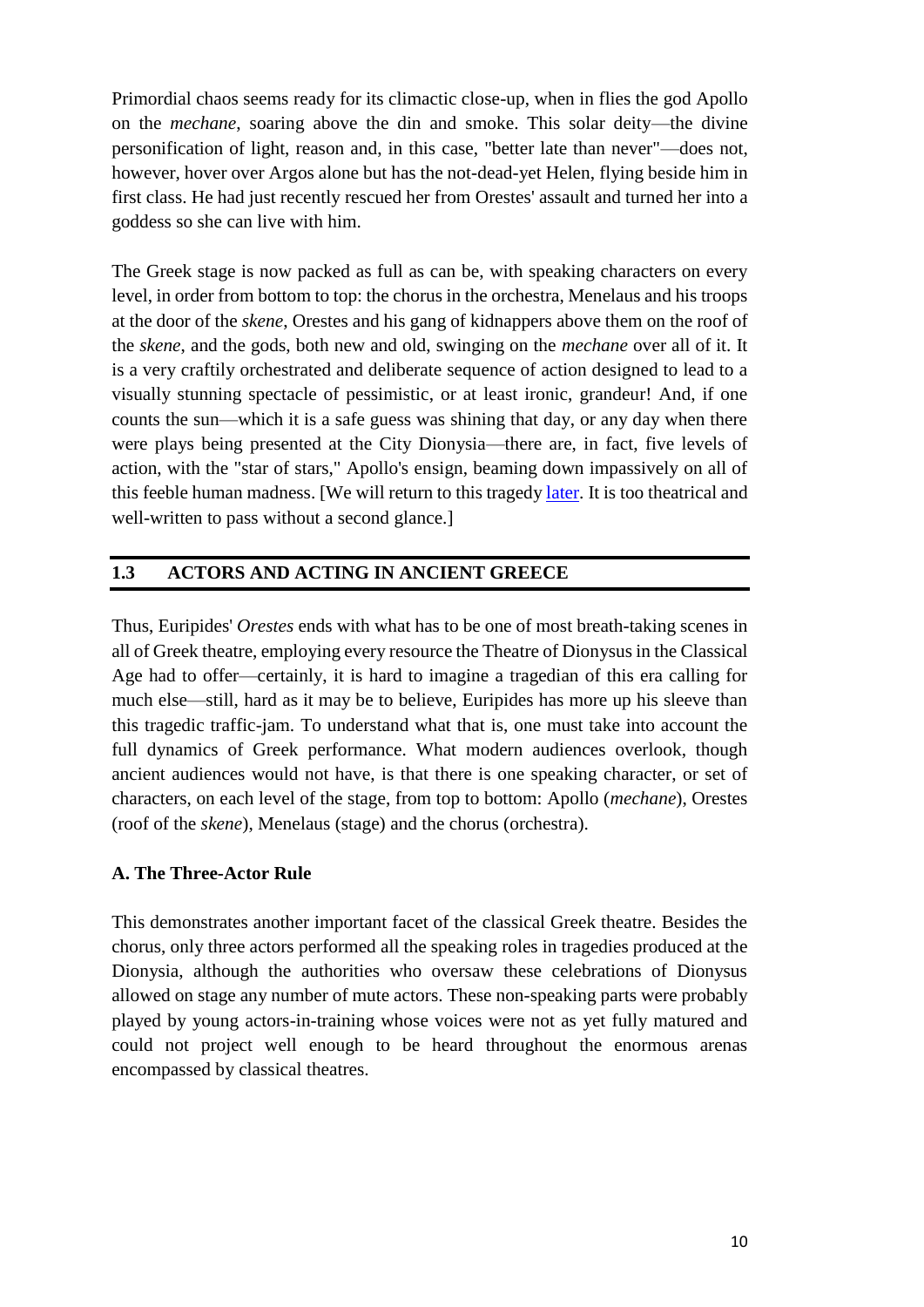The challenge presented by these sophists was met by perhaps the greatest team of thinkers in human history, **Socrates** and **Plato**. This teacher-and-student duo led the charge to set morality back on a firm foundation of strict philosophical argumentation and to counter the relativism of the sophistic movement. All cynics and sceptics since have had to face up to the dialogues of Socrates in which, as recorded by his student Plato, the master attacks various free-thinkers and debunks their wide-ranging claims that moral absolutes do not exist. It is still not clear which side won, but with this pair, staunch moralists gained a valuable and much-needed ally in the long on-going war between idealism and practicality, conviction and compromise, what ought to be versus what has to be.

#### **2.4 THE PELOPONNESIAN WAR AND THE POST-CLASSICAL AGE**



The glory of Athens grew top-heavy by the later decades of the fifth century BCE. Made greedy by the wealth they had come to expect over time, the Athenians started expanding their realm by force. In response, **Sparta** initiated a war with Athens in 431 BCE in an effort to curb the Athenians' imperialistic designs, a quest for world domination as the Spartans saw it.

This on-and-off conflict is now known as the **Peloponnesian War**—Sparta is in the Peloponnese (southern Greece) and we today see the war from the Athenians' perspective since their records preserve the history of this conflict—it was essentially a civil war among Greek city-states, ending with Sparta's defeat of Athens in 404 BCE. The ultimate result was even worse. Weakened by incessant in-fighting, all southern Greece fell to a foreign power in the next century. The lesson to be learned about the consequences of a nation's failure to achieve compromise and resolve peaceably its internal disagreements is as yet not fully understood by many world leaders today: "United we stand . . ."

In this so-called **Post-Classical Age** (the fourth century, i.e. the 300's BCE), the Greeks squabbled among themselves, allowing the expansion of the kingdom to the north of them, **Macedon(ia)**, an area populated by Greek-speakers but ironically considered a "**barbarian**" nation by their more cultured southern kin. In Greek, *barbaros* means "foreign," purportedly from the nonsense syllables "bar bar" which is the way non-Greek languages sounded to the Greeks. During the first half of the fourth century, the Macedonians gradually consolidated their power in northern Greece and under the leadership of **Philip II**, a crafty and ruthless ruler and a general of great skill, began to extend their influence south.

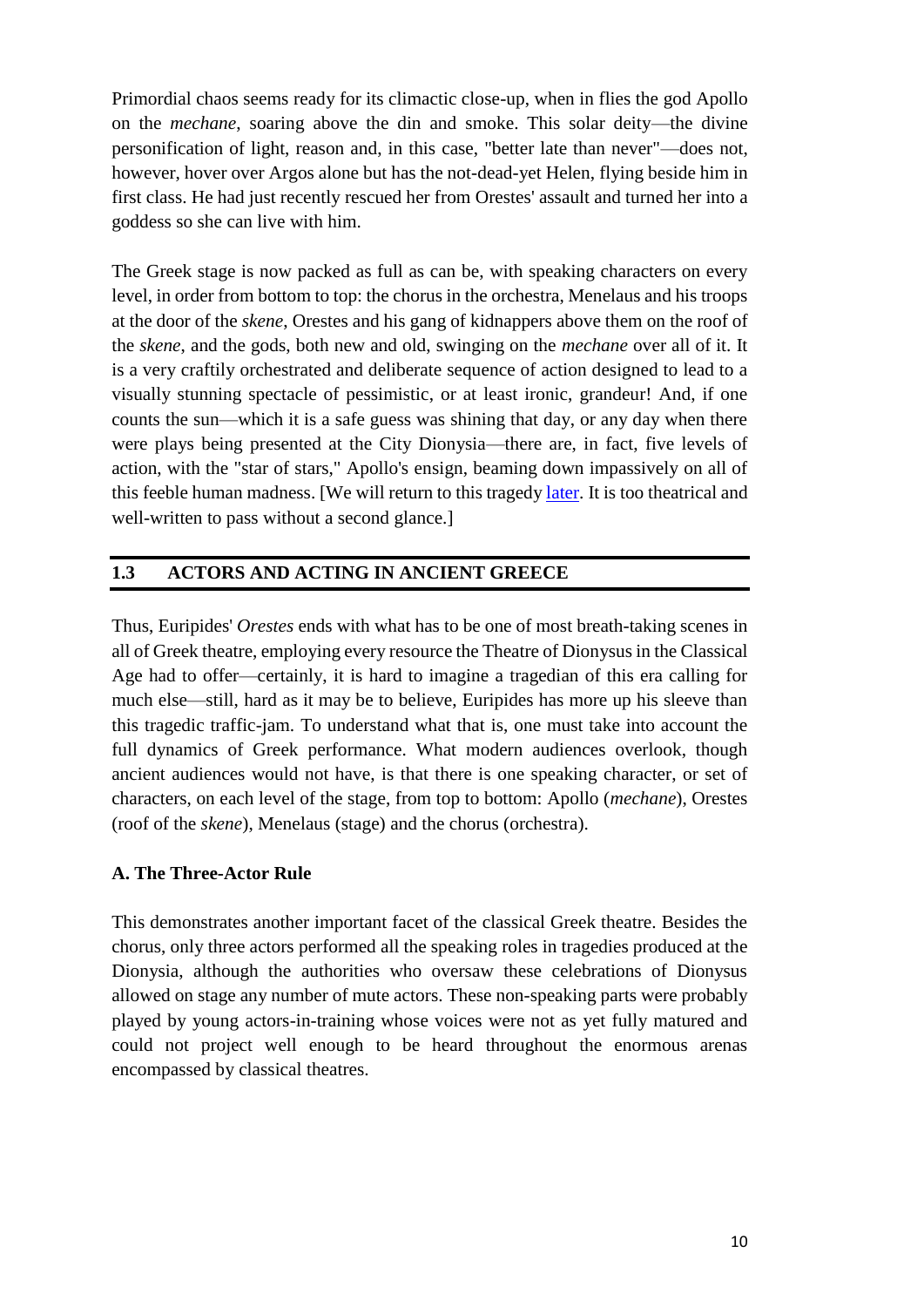

In 338 BCE, Philip succeeded in defeating the combined forces of the southern Greeks—Athens, Thebes, and Sparta all fighting together for the first time since the Persian Wars well over a century before!—and reduced them to a tribute-paying protectorate of his burgeoning empire. He would surely have become one of the best known figures in history, had he not created a son whose name and glory resound through all time, **Alexander the Great**. Still barely out of his teens, Alexander not only succeeded Philip as ruler of Greece but over the course of the next decade (333-323 BCE) went on to conquer many lands, including Asia Minor (modern Turkey),

Egypt, and Persia, and even made incursions into India. When he died suddenly of a mysterious ailment in 323 BCE, he left behind a very different world.

The period after Alexander is called the **Hellenistic Age**. Alexander had died without siring a legitimate heir, giving his generals *carte blanche* to seize and divide up his vast realm. These socalled *diadochoi* ("successors") inaugurated three centuries of internecine conflict in the eastern



Mediterranean area. Governed by one of Alexander's generals Ptolemy and a long line of his descendants, Egypt was the only of these "successor states" to thrive and enjoy any stability, and indeed a Hellenized ("Greek-ified") Egypt did prosper, becoming a home-away-from-home for many post-Classical Greek authors. The discovery there of thousands of **papyri** (scraps of "paper") with Greek writing on them, dating to the third century BCE onward, is evidence of the large number of Greek speakers who moved into Egypt in the Hellenistic Age. Thus, the Greeks' business interests continued to expand even after the Macedonian conquest, many becoming very wealthy in the course of their cosmopolitan commercial adventures.



But, if well-fed and secure, they were also lost and unhappy amidst their materialistic bliss. One of the consequences of Alexander's dominion was to show what a small and insignificant place Greece actually was in the larger—the *much* larger!—world. Ironically, then, as the Greeks' monetary worth rose, their

sense of self-importance declined. It grew ever harder, for instance, to believe that the Greek gods who presumably controlled the whole planet—and such an expansive domain it had proven to be!—would choose to live on a cold, medium-sized mountain in northern Greece, especially when it was now widely recognized that they could reside in an excellent vacation spot like Egypt. The Olympian religion, which had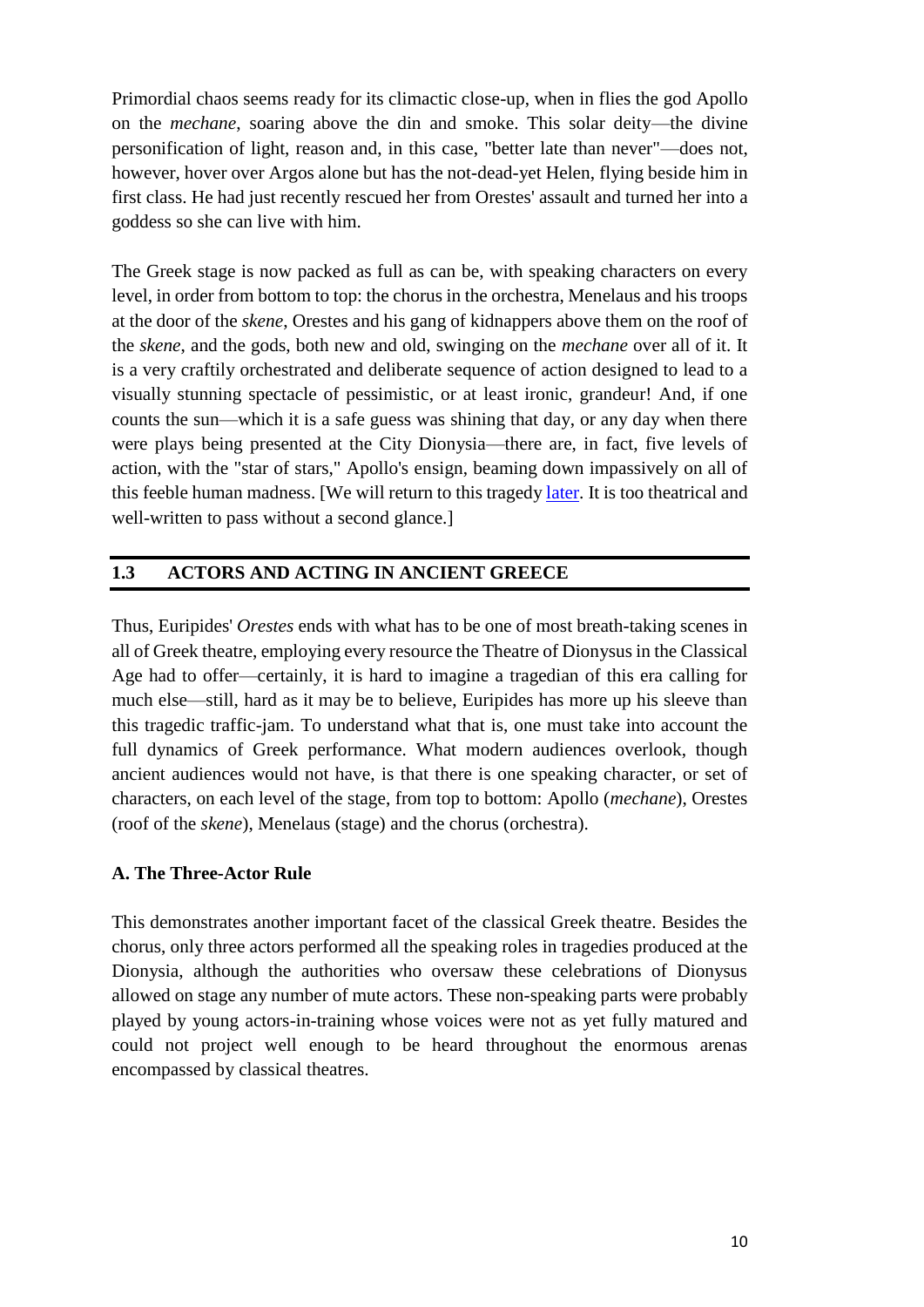already suffered severe setbacks during the intellectual turmoil of the Classical Age, started to falter seriously.

While not wholly discarding their ancestors' religion, many Hellenistic Greeks joined foreign cults in a search for greater meaning and direction in life. Some put religious structures aside altogether and indulged in "philosophies," essentially cults based on logical argumentation but in reality belief systems of a sort. Spawned in the wake of Socrates and Plato, these philosophies dictated ways of living that could be "deduced" through proper reasoning.



The most important of these in the long run was **Stoicism**, a

philosophy centering around the premise that the universe is essentially "good" and, therefore, suffering exists for the very purpose of building a better tomorrow. The "logical" response to this situation, the Stoics preached, is to distance oneself from any feelings of pain or remorse, to push aside emotion and understand that things will turn out for the better even if they do not seem that way at the moment. Thus, people should focus on their duty and ignore as much as possible the pain encountered in the passage through life. Stoicism has influenced a wide range of people then and now, from Saint Paul's conception of Christianity to Gene Roddenbery's depiction of Vulcans in *Star Trek*.

Eventually, the internal conflicts of these Hellenistic kingdoms spelled their doom. Yet another conqueror came along and took them down one by one. Unlike the Greeks, this new regime had avoided for a long time the fatal pitfall of internal bickering and thereby created the most powerful and long-lasting empire yet in Western Civilization. These conquerors were, of course, the **Romans** who began incorporating the Hellenistic Greek world into their realm around 200 BCE. Henceforth, Roman and Greek civilization would merge to form "Greco-Roman" culture, the hybrid we know as classical antiquity. [Click [here](http://www.usu.edu/markdamen/1320AncLit/chapters/10catul.htm) for more information about the Hellenistic Literature and the Post-Classical Age.]

# **2.5 LET US SUM UP**

The history of Greece is a tale of glory and folly, of inordinate success and incalculable waste. Perhaps because our strengths as humans almost invariably come from the same sources as our weaknesses—to wit, the blindness that leads many to be taken in by others also makes them brave in the face of overwhelming danger—the same things that had fostered the civilization of the ancient Greeks precipitated its fall, their unwavering belief in themselves and the conviction that their ways were the right ways, the best ways, and finally the *only* ways. In particular, the greed that drove the Peloponnesian War and fomented all its disasters for Athens and Greece alike was part and parcel of the Athenians' determination to improve themselves and their way of life. That is, the fire that sparked the Classical Age also incinerated it.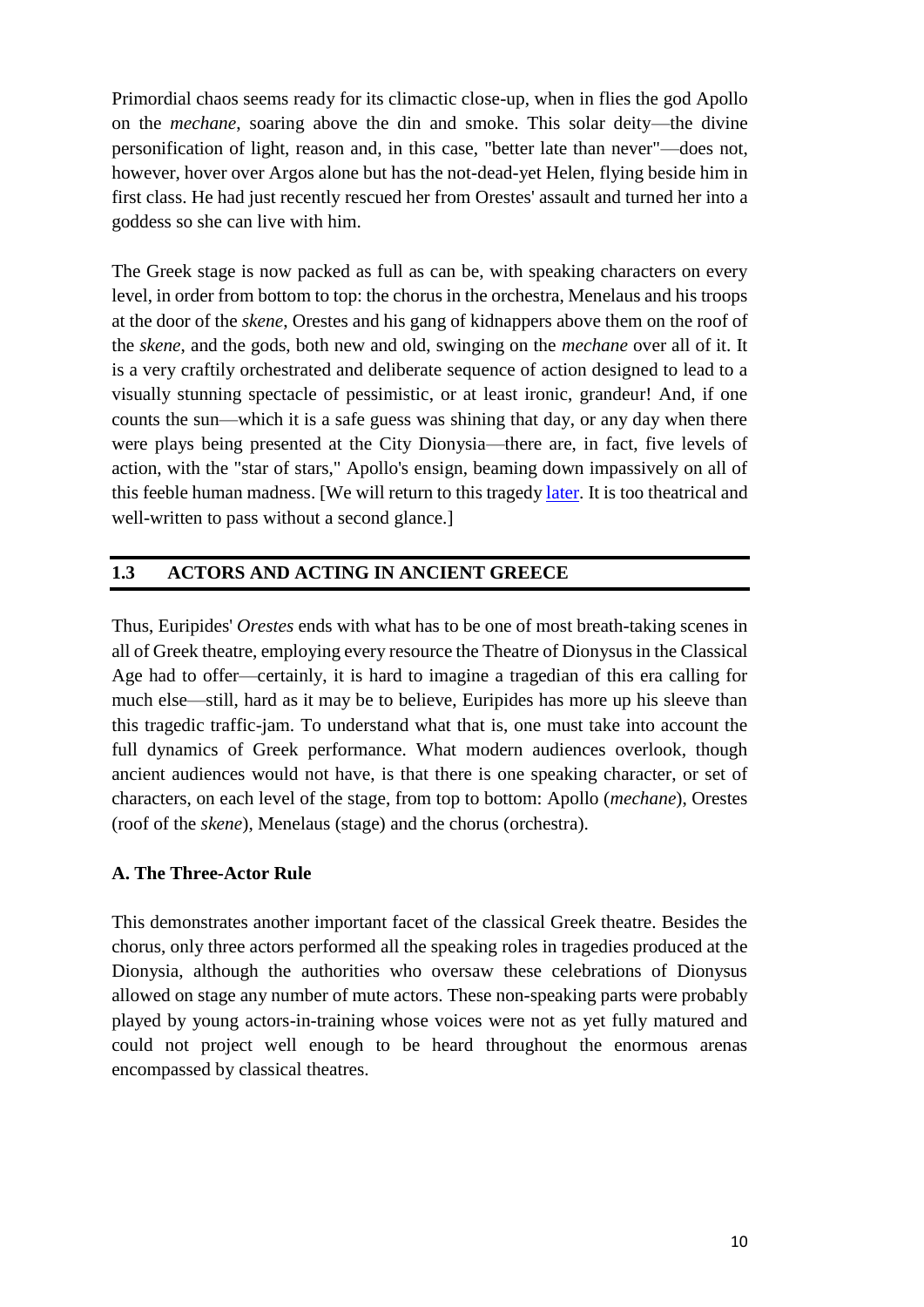

Likewise, the Greeks' visionary art with all its grandeur and glory is tightly bound up with the egotism that led them early on to trust their own divine instincts but then also to underestimate the power of "barbarians" and eventually fall to beings they looked down upon as inferior. The Parthenon is a perfect example of how this all worked. It is a temple designed to please the

human eye, not some god looking down from above. It is a three-dimensional reflection of the **humanism** that pervaded classical Greek thought, the soul sister of Greek philosophy which saw truth as what appealed to the mind, meaning the *human* mind. Raised out of the very bedrock of Greece, this magnificent edifice proclaims the greatness of our species and at the same time its ruins today show just how great we really are.

The Greeks built their civilization, a culture outstripping all previous ones in Western Europe, from the thin soil of their homeland, and then threw it all away fighting among themselves over those same dusty stones. In the end, their sense of self-worth was both their triumph and their downfall. It makes sense, then, that tragedy is one of their most enduring achievements.

# **2.6 CHECK YOUR PROGRESS**

| 1. Write a short note on Peloponnesian War?              |
|----------------------------------------------------------|
|                                                          |
|                                                          |
|                                                          |
|                                                          |
|                                                          |
| 2. Write a short note on the Beginning of Classical Age? |
|                                                          |
|                                                          |
|                                                          |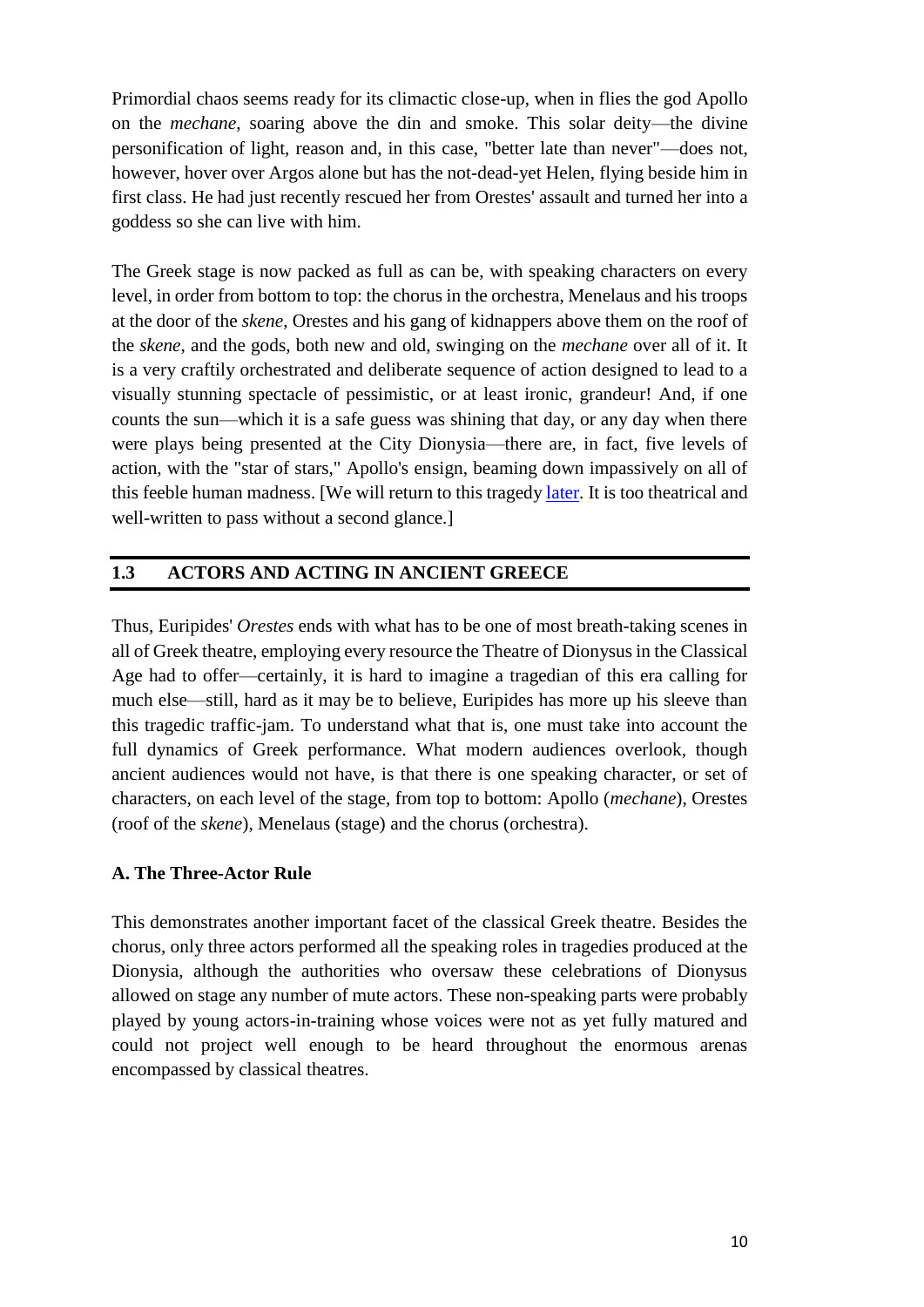# **UNIT-3 CLASSICAL GREEK TRAGEDY**

#### **Structure**

- 3.0 Objective
- 3.1 Introduction
- 3.2 Sophocles
- 3.3 Sophocles and Language
- 3.4 Let Us Sum Up
- 3.5 Check Your Progress

#### **3.0 OBJECTIVE**

In this unit we will discuss Oedipus the king 429-420 BCE), also known as *[Oedipus](https://www.ancient.eu/Oedipus/) Rex* or *Oedipus Tyrannos* ('Tyrannos' signifies that the throne was not gained through an inheritance) is the most famous surviving play written by the 5thcentury BCE poet and dramatist [Sophocles.](https://www.ancient.eu/sophocles/) The play is part of a trilogy along with *[Antigone](https://www.ancient.eu/Antigone/)* and *[Oedipus at Colonus.](https://www.ancient.eu/Oedipus_at_Colonus/)*

#### **3.1 INTRODUCTION**

The plot of *[Oedipus](https://www.ancient.eu/Oedipus/) Rex* - an old myth already known to most of the audience - was simple: a prophecy claiming he would kill his father and lie with his mother forces Oedipus - whose name means 'swollen foot' after his ankles were pierced as a child to leave his home of [Corinth](https://www.ancient.eu/corinth/) and unknowingly travel to [Thebes](https://www.ancient.eu/Thebes/) (his actual birthplace). En route he fulfills the first part of the prophecy when he kills a man, the king of Thebes and his true father. Upon arriving in Thebes, he saves the troubled [city](https://www.ancient.eu/city/) by solving the riddle of the [Sphinx,](https://www.ancient.eu/sphinx/) then he marries the widowed queen (his mother) and becomes the new king. Later, when a [plague](https://www.ancient.eu/plague/) has befallen the city, Oedipus is told that to rid the city of the plague he must find the murderer of the slain king. Unknowingly, ignorant of the fact that he was the culprit, he promises to solve the murder. When he finally learns the truth, he realizes he has fulfilled the prophecy; he blinds himself and goes into exile.

# **3.2 SOPHOCLES (CA. 495-406 BCE)**

"Sophocles wrote about killing your kids and having sex with your mom and gods descending at the last second to save the day. He knew how to pull off a decent opening weekend." Joel Stein ("Spider-Man Rules"), *Time* 5/20/2002

#### **A. Sophocles the Man**

**Sophocles**' life encompassed almost the entirety of the fifth century BCE. Born ca. 495 BCE into a wealthy Athenian family, the young Sophocles was chosen because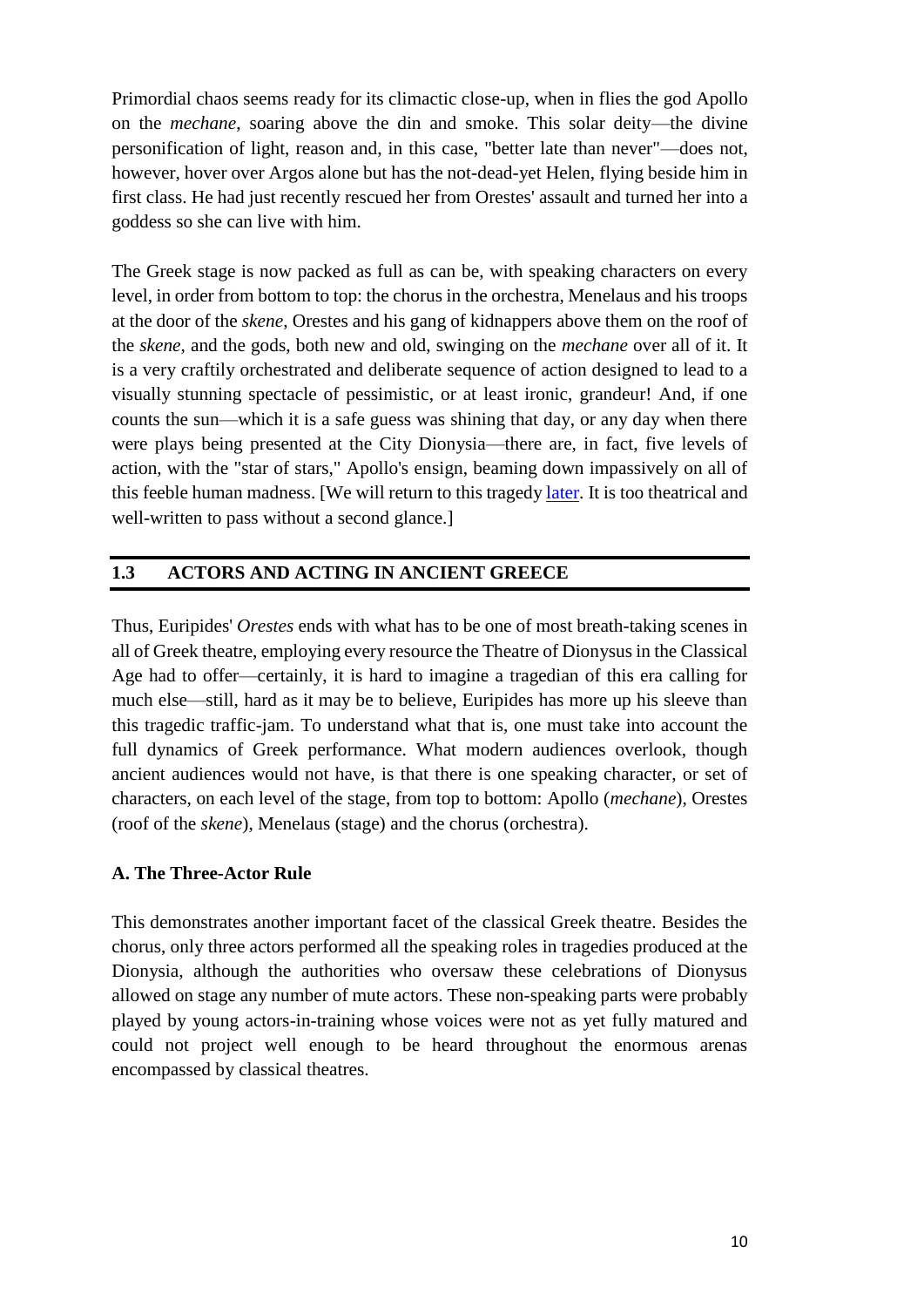of his beauty to lead the singing and dancing at the ceremony held in celebration of the Persians' defeat at Salamis. The same good fortune followed him into adulthood where, if classical Athens ever had one, he was the perennial "golden boy." For instance, as a young playwright, he defeated the veteran Aeschylus in dramatic competition—the evidence for this is found both on the Parian Marble and in a later history—and from there he went on to win an unprecedented number of playwriting victories at the City Dionysia, all this in spite of suffering from *microphonia*—that is, having a weak voice (see above)—which forced him at an early age to retire from acting in his own plays. (note)

Later in life, Sophocles also served his city as soldier and statesman, appointed as General (*strategos*) at least twice and Imperial Treasurer of Athens in 443 BCE. In addition to that, he played an important role in religion. Appointed the priest of Asclepius (the god of health), he received this deity's holy snake when it was first brought to Athens and had no temple as yet to house it. Because his counsel was widely respected, the aged Sophocles was one of the *probouloi* ("counselors") chosen to advise the Athenians after their navy was destroyed in Sicily in 413 BCE.



Indeed, all through his life, honors and awards flowed his

direction, his good reputation never waning. He died in 406 BCE at an extremely advanced age, having managed to remain active artistically right up to the end. Following his death, the Athenians awarded Sophocles the highest honor a mortal could receive: he was dubbed a hero and given the name *Dexion* ("The Receiver") for having taken in Asclepius' sacred snake. Thus, living from the triumph of the Persian Wars through almost the entirety of the fifth century BCE, Sophocles' timely death spared him the horrors of witnessing the final humiliation of Athens at the conclusion of the Peloponnesian War and the Classical Age. Truly a blessed and remarkable man, he was the paragon of his times, having served in his day as the ancient Athenian equivalent of Shakespeare, Picasso, Lincoln, and Rose Bowl Queen.

# **B. Sophocles the Playwright**

Yet, for all that is known about Sophocles the man, there is remarkably little information on Sophocles the playwright. For instance, the treatise he wrote about theatre called *On the Chorus* is now lost. Aristotle, furthermore, tells us pitifully little about Sophocles' drama—as opposed to the dramatist's life—in spite of the fact that Aristotle probably had access to much more information about classical tragedy than we do.

From other sources of varying reliability, we can add a fact or two. The Greek historian Plutarch, for instance, claims Sophocles went through three phases in his career: first, a "bombastic" period—epic-like? declamatory? Aeschylean?—followed by a "sharp and artificial" period—reduced? overly clipped? anti-Aeschylean?—and finally a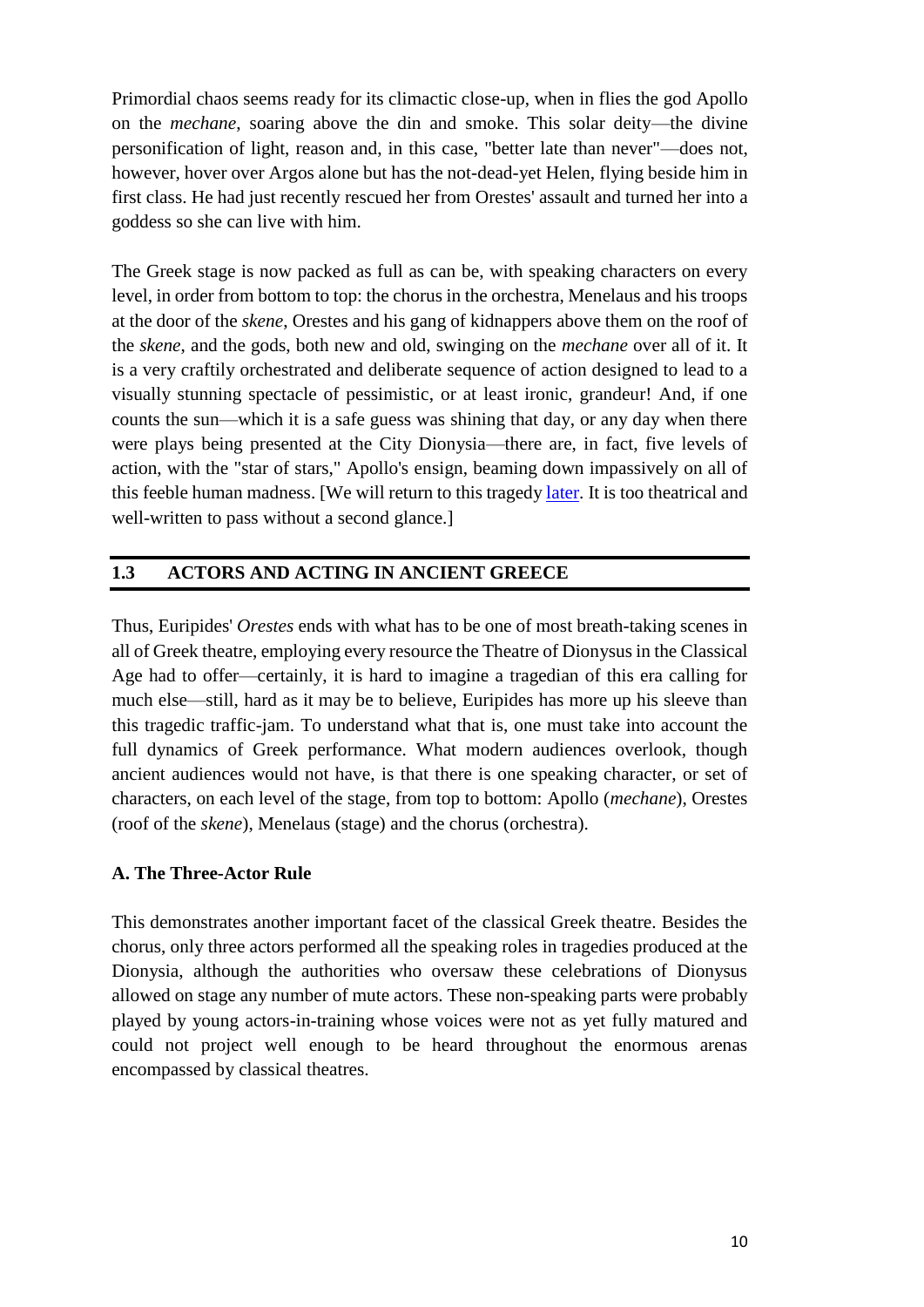period in which Sophocles' style was "best suited to expressing character"—realistic? naturalistic? Menandrean?—none of which unfortunately is particularly informative or says much about Sophocles' stagecraft. (note) Nor do the extant plays help much either, since all appear to come from the last phase, the one "best suited to expressing character," making it impossible for us to see for ourselves what really constituted these shifts in style. In the end, our best guide to assessing Sophocles as a playwright is his work itself, the seven plays that survive, meager leftovers of a once bountiful feast.

There is, however, one clear difference immediately visible in Sophocles' work which sets it apart from Aeschylus'. Sophocles is the first tragedian known to have written what modern scholars have termed **unconnected trilogies**, that is, sets of three tragedies whose plots do not revolve around a single family's saga or some sort of lore drawn from the same arc in the cycle of Greek myth. What links the unconnected trilogies is unclear today because so few of Sophocles' plays have survived and none from the same trilogy, leaving us to guess the nature of how plays in unconnected trilogies created an integrated theatrical experience for the original audience. To judge from play titles and fragments alone, it seems safe to infer, however, that tragedies of Sophocles were at best connected thematically to one another in trilogies.

But there is a larger issue at stake here. Because Sophocles is the first tragedian whose trilogies are known to have been unconnected—from which it is often and, no doubt, rightly assumed that he was also first to do so—he then set an important precedent followed by the majority of tragedians who followed him. If so, he was truly a trendsetter, in that this innovation gave the playwrights who followed in his wake the licence to cover much more mythological turf than if all trilogies had to consist of stories directly related by plot. In other words, unconnected trilogies opened the door to the staging of a much wider range of narrative, in particular, parts of the epic cycle which supported one drama well but not necessarily three. Thus, if Sophocles was the one who spearheaded this development, his descendants owed him a great debt.

We are told also that he made changes in the nature of the **chorus**, whose number he set at fifteen, though it is not immediately evident whether this represents an increase or decrease from the usual number in Aeschylus' day. It is also possible there was no fixed number prior to Sophocles and so his innovation may only be that he regularized the size of choruses. In other regards, however, he seems to have downplayed the chorus over time—choruses in Sophocles have significantly fewer lines than their Aeschylean counterparts—though the impression of a diminished role for the chorus may stem from the general tendency of classical drama through the fifth century to shift focus away from choral song and toward the interaction of the individual actors who portrayed speaking characters.

This is not to impugn the centrality and beauty of the choral odes in Sophocles' drama which make it hard to believe he actively disliked using choruses in performance not only did he write a treatise entitled *On the Chorus*, but his skill in composing choral odes argues against any such notion—more likely, then, Sophocles simply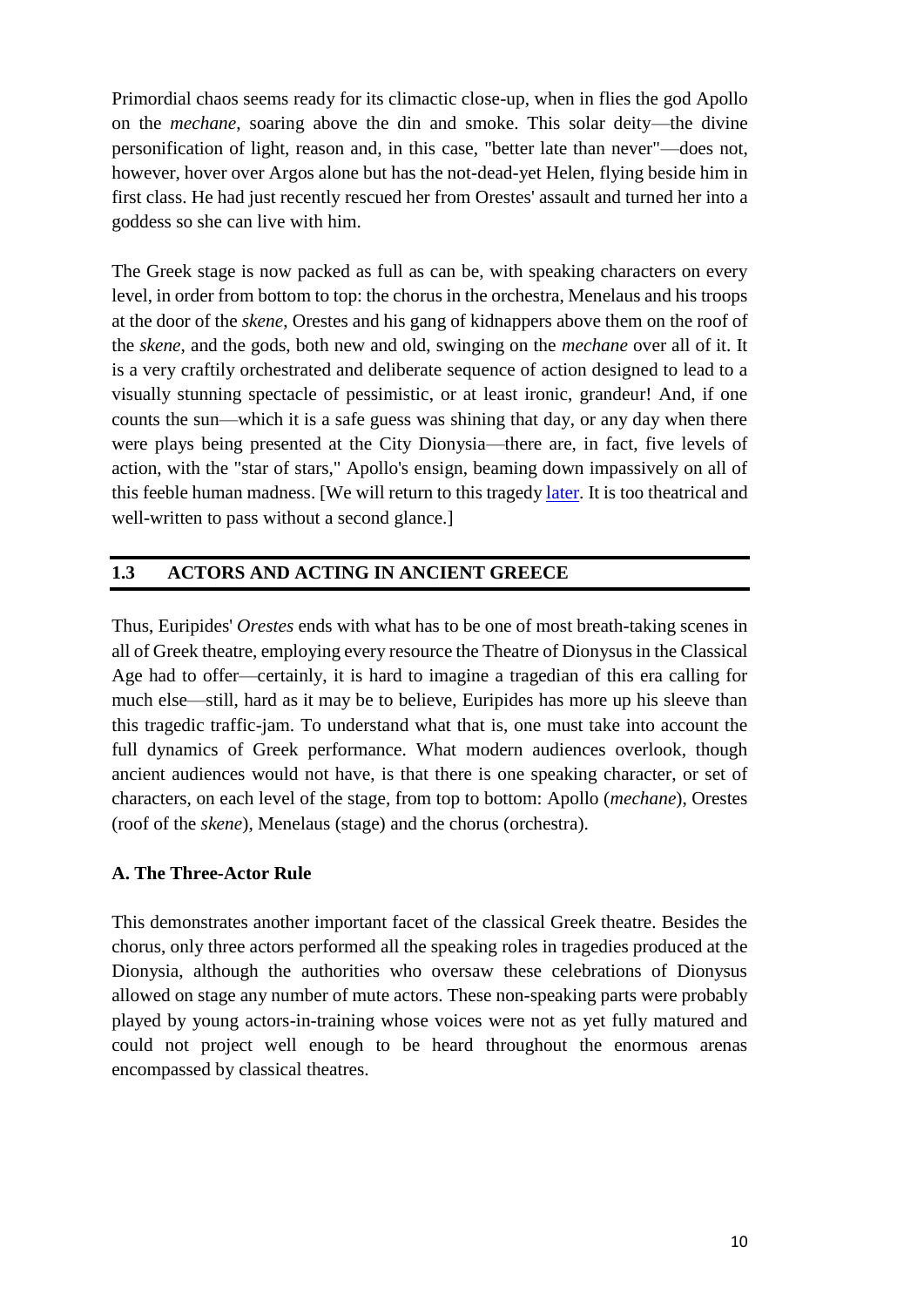modulated the role of the chorus in drama from active participant in the play to odesinging onlookers, playing up the more reflective and philosophical aspect of their dramatic potential by enhancing the esthetic quality of the lyrics they sang. This would be a natural development for the first playwright on record to sit in the audience and watch the performance a play he had written. All in all, it is better to see his modulation in the nature of the chorus' role in Greek theatre as a matter of "modernization" and not a diminution of its role on stage.

#### **C. Character in Sophocles**

Even with so few tragedies on which to base judgment, there is yet another pattern discernable in Sophocles' drama, something seen nowhere better than in his acclaimed masterpiece *Oedipus the King*. To comprehend this pattern, however, requires an understanding of Greek myth in general and dramatic myth in particular, principally that both are much more fluid than commonly thought. The popular notion today that the ancient audience came to the theatre knowing the stories of the myths they were about to witness on stage is a half truth, at best. To judge from the widely variant versions of the tales enacted in tragedy, it is clear Greek playwrights had quite a bit of latitude in their treatment of mythological stories and characters, a tendency fostered, no doubt, by the existence of rival variants of myth within traditional Greek lore itself. For instance, in one version of the Trojan War myth Helen is abducted against her will by Paris of Troy and forced to become "Helen of Troy." In another, she runs off with him voluntarily, dazzled by his good looks and his family's wealth. Depending on the particular needs of his play, an ancient dramatist could pull from either tradition, or sometimes both at the same time, as Euripides did in *The Trojan Women* where Helen and Hecuba argue over who is the real "Helen": abductee or adultress? All in all, the classical Greek audience entered the Theatre of Dionysus knowing the general parameters of the myths to be performed—Helen clearly had to go to Troy (or at least everyone thought she did), though how and why was up to the individual playwright but the viewers were never sure what version of the myth they would see in any particular drama.

At the same time, Greek myth—and its step-child, Greek drama—was not without limitations, since certain things had come to be expected of certain characters. As a foreign witch, for instance, Medea must be willing to commit murder to get her way, or as the Roman poet Horace said:

If, for instance, you write of that time-honored Achilles— A man not slow to act, who's angry, stubborn and bitter— Let him say laws weren't made for him, settle quarrels with force. Let Medea go wild, be uncontrollable. Let Ino be tearful, Ixion treacherous, Io dazed, and downcast Orestes.

To the ancients, a timid or complacent Medea was inconceivable, nor was a mildmannered Clytemnestra. Though she might feel guilty after killing her husband, still she had to find in herself somewhere the will to commit such an unspeakable act.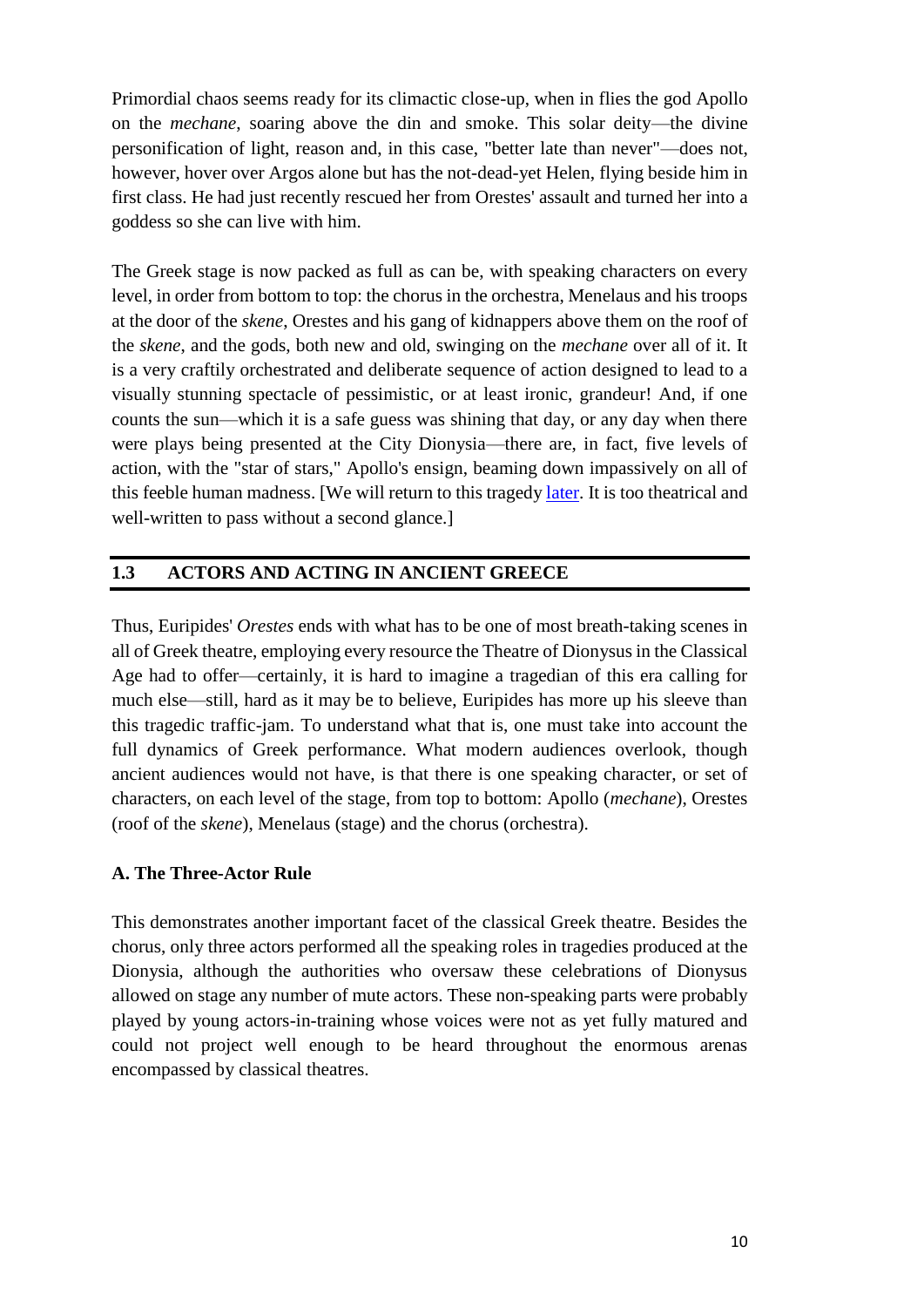Similarly, on the day the Athenian audience approached the Theatre of Dionysus to see for the first time Sophocles' *Oedipus the King*, they were surely expecting to confront a power-hungry, headstrong king who was willing to go to extreme lengths to keep his throne. According to the traditional story—no less a luminary than Aeschylus had staged this myth a generation earlier-**Oedipus** discovered the terrible truth of his fate, that



he had killed his father and married his own mother, fairly soon after arriving in Thebes. According to some versions of the tale, including Aeschylus' perhaps, the wicked man then decided to hide the awful fact and live and sleep with his wife and mother Jocasta—so eager to remain king, he committed incest with his own mother, knowing full well who she was!—but when she found out what had happened, she killed herself. The ensuing investigation of her suicide revealed the awful story in its entirety, and Oedipus suffered the consequences of his lust for power.

Sophocles, however, took the story in a very different direction. While still arrogant and driven, he created an Oedipus who is ignorant of the truth until very late in his reign. Only then is the whole story made known, whereupon he blinds himself and goes into exile. Instead of the traditional villain who tries to hide his shame and hang onto the throne of Thebes, Sophocles' Oedipus stands innocent of any intentional wrongdoing, at least on the surface. And when he is at long last shown to be the "most wretched of men," only then does he concede power and punish himself with blinding and exile, even though it is not exactly clear what wrong he has actually committed. In changing the timing of Oedipus' discovery of the truth, Sophocles has made him a sympathetic character, much more so than he was in Greek myth prior to this.

The same is true of other Sophoclean characters. For instance, according to traditional Greek myth, **Deianeira**, Hercules' wife, kills the great hero when he brings home another woman. In Sophocles' *Women of Trachis*, however, Deianeira does so out of ignorance, believing that the potion she was giving Hercules would win her back his love. Instead, of course, it kills him. And like Oedipus, when she realizes what she has done, she punishes herself, in this case with suicide, out of grief and to save her good name.

Likewise, **Phaedra** in Sophocles' play of the same name—a drama now lost, but the general plot can be reconstructed from its fragments—is a lustful Cretan princess who usually emerges in Greek myth as an unsympathetic seductress, but Sophocles appears to have treated her character with rare compassion. According to standard Greek myth, Phaedra fell in love with her own stepson, the handsome hunter **Hippolytus**. In some versions of the story she makes advances on him and, when he rejects her, she angrily accuses him of rape to his father Theseus.

In Sophocles' *Phaedra*, however, she becomes entangled in a web of misunderstanding that mitigates her lechery and guilt. Believing her husband dead,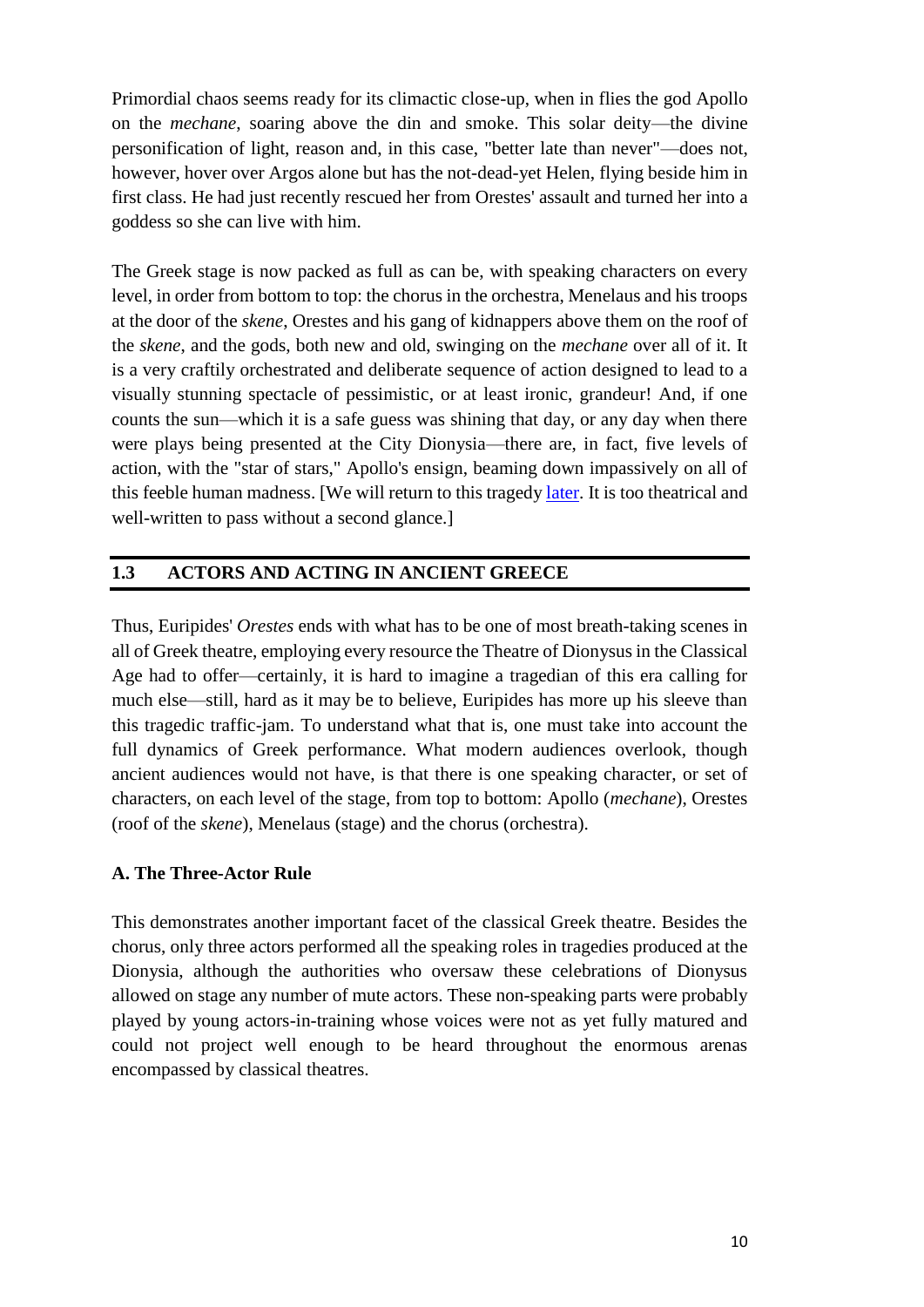she proposes a political, not sexual alliance with Hippolytus in order to protect her children's claim to the throne of Athens. It is not Phaedra in this case but Hippolytus who is the excessive character and, interpreting her proposition as sexual, chastises her without good cause. When Theseus suddenly shows up alive, Sophocles' Phaedra panics and, like Deianeira, overreacts by accusing Hippolytus of rape. The young man dies horribly and unfairly at his father's command, and at the end of the play Phaedra kills herself in remorse, a far more pitiful—and interesting!—death than the one normally accorded this lascivious, foreign strumpet.

In some Sophoclean dramas, the converse is true. Sophocles is also known to darken typically favorable characters. **Electra**, for instance, traditionally takes the part of the faithful daughter who waits passively—as a good Greek woman, it is not her role to participate in public life—and allows her brother Orestes to claim justice by slaying their unrighteous mother Clytemnestra, or so Aeschylus portrayed her in *The Libation-Bearers* (458 BCE).

Sophocles, on the other hand, has used the same story to create a very different Electra. In his play named after her, she is a bitter and despondent woman, obsessed with her father and avenging his murder. Refusing to change her clothes and clean herself, she rails at any who approach her about Agamemnon's unrequited assassination. When her brother Orestes at last returns, she hounds him, insisting that he kill their mother and, when he finally does it, stands outside listening and abusing Clytemnestra as she cries out for help and pity. Though to many ancients Electra's cause is clearly just, the way she acts in Sophocles' *Electra* reveals the narcissistic monster lurking inside her, a beast who just happens to have right on its side. If it didn't, it would be so much easier—and infinitely more comfortable for the viewer—to condemn Electra for the Fury she is, but Sophocles ' play doesn't afford such a freedom.

Perhaps clearest of all and best known these days, the title character of Sophocles' *Antigone* stands as another such self-righteous abomination. **Antigone** also hurtles forward, fueled by the force of justice, and in the process propels herself into disaster. Moreover, by carrying her sense of rectitude too far, she takes down innocent people—among them, her fiancé and his mother—in her crusade of suicidal obstinancy.

All in all, when we survey the treatment of character in Sophoclean drama, a pattern emerges. More than once, the playwright undercuts the classical audience's expectation of the way a well-known hero or villain behaves or should behave in myth. This seems clearly to be an attempt to realign—or simply complicate—the viewers' traditional sympathies. Even in what little remains of his drama, Sophocles does this often enough that it is tempting to suppose the inversion of standard character type was a recurring theme in his work, perhaps a hallmark of his drama in the Classical Age.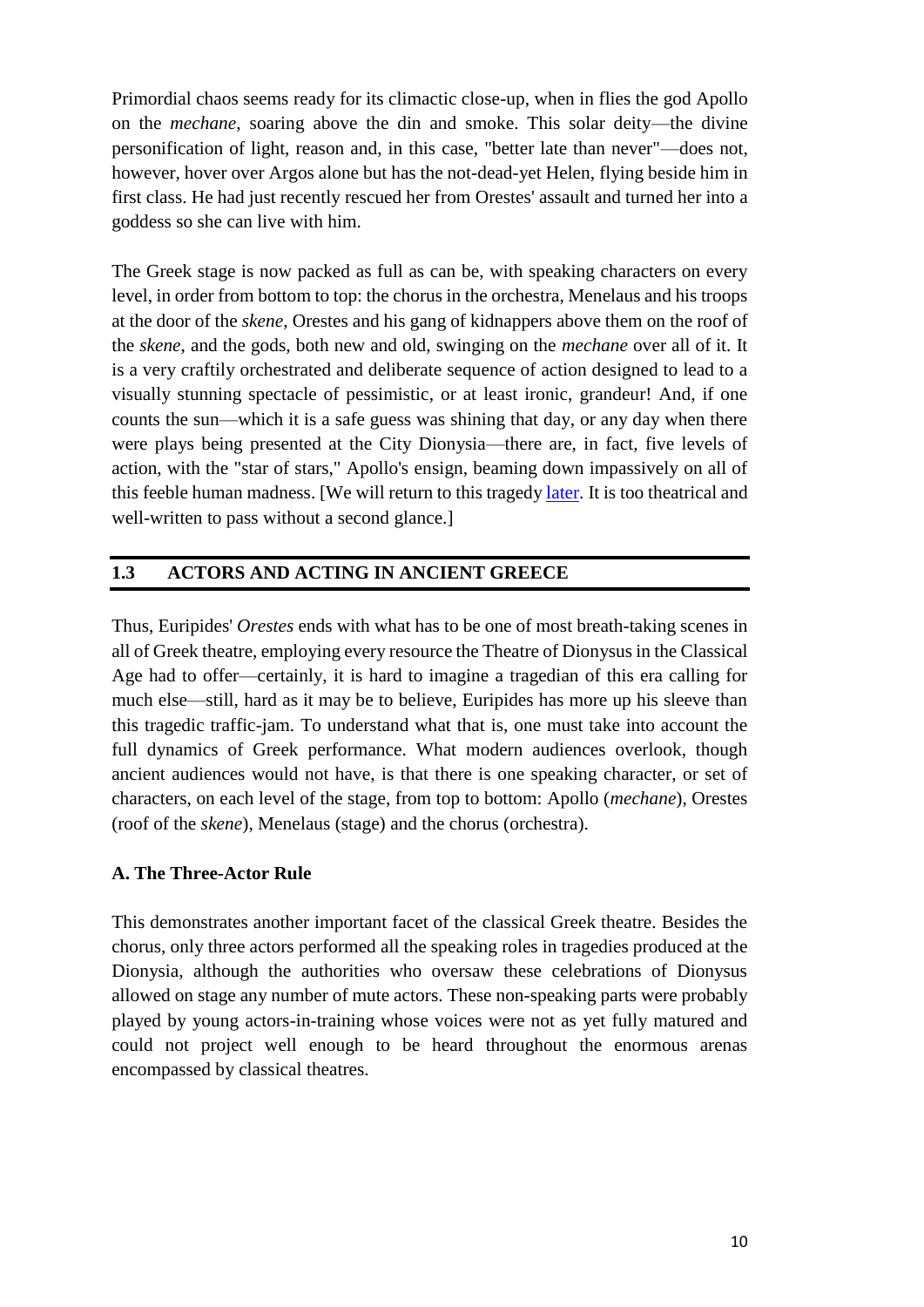# **3.3 SOPHOCLES AND LANGUAGE**

Overall, Sophocles was—and if more people could read his original works, he would undoubtedly still be—best appreciated and remembered for his exquisite command of the **Greek language**, something blunted but still visible in translation. Yet the power of his drama derives not from high-sounding, intricate poetic expressions, as Aeschylus' "drunken" verses do, but from the driving simplicity of phrases which often carry multiple meaning and are rich with irony. To wit, Sophoclean choral odes are among some of the finest poetry ever written in any tongue and, even without the music composed to accompany them, resound through the ages, shimmering with the elegance and beauty of the ideas streaming from them. Thus, readers across the ages have valued Sophocles' plays for their literary virtues as much as audiences have admired their dramatic force. That readability is, no doubt, what caught Aristotle's eye who seems to have preferred him to Euripides, in spite of the fact that the latter was clearly more theatrically marketable in the Post-Classical Age.

At times, what makes Sophocles' poetry so spectacular and compelling is hard to see from the English, but it is worth looking into since it was so patently a part of his art in its day. Let's look at just example of his word-magic. About midway through Sophocles' *Oedipus*, a messenger from Corinth enters with what he thinks is good news for the king, that Oedipus' purported father who lives in Corinth has died and so now Oedipus cannot be his father's murderer as the Delphic oracle has decreed. Gleefully, the messenger says to the chorus:

From you, O strangers, *I would like to learn where* (*mathoim' hopou*) The house of the king is, *Oedipus'* [house] (*Oidipou*). So call him, if *you know where* [it is] (*katisth' opou*).

The first and third lines end with phrases meaning "know where," employing two different Greek verbs for "know" (*mathoim'*, *katisth'*). The end of the second line is the name Oedipus in a form equivalent to the English possessive, *Oidipou* ("Oedipus' [house]"). That form of the name happens to have an ending which is synonymous with the Greek word "where" (*pou*), the same word used in the lines directly above and below.

Seen this way, the name takes on new meaning, because the first half of Oedipus' name (*Oidi*-) closely resembles yet another Greek verb meaning "know," *oida*. That is, Oedipus' name could be understood as "know-where," if one were to misread it as a compound of *oida* and *pou*. [\(note\)](http://www.usu.edu/markdamen/ClasDram/notes/072/n07203.htm) The messenger's intentional misreading of Oedipus as "know-where" is then reinforced by the other words meaning essentially the same thing directly above and below it, so that three lines in succession appear to end with a trio of variations on "know-where" in Greek.

In other words, at this moment in the play the Corinthian messenger puns(!) on Oedipus' name—the technical term for this practice is **paronomasia**—presumably out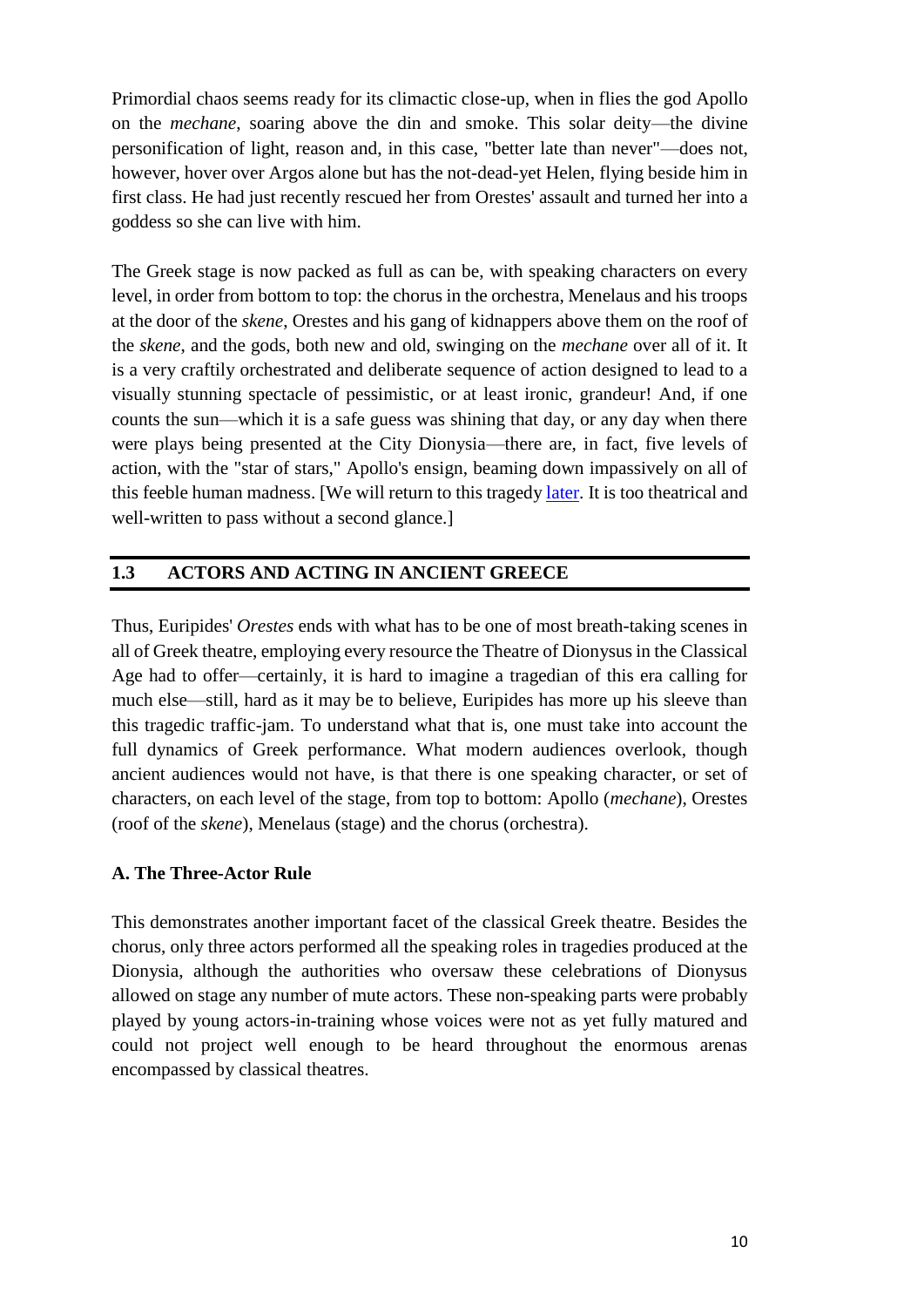of joy because he believes he is bringing Oedipus good news. He is, of course, *not*. The report of the Corinthian king's death will precipitate the revelation of the greater truth that Oedipus has, in fact, killed his father and married his mother, and joy will change to horror as the king's actual biography unfolds. So, the lines are humorous, and at the same time not.

All in all, Sophocles' paronomastic word choice here conveys far more than a simple pun. By stressing "know-where" Sophocles reminds the audience who, in fact, do "know where" Oedipus is living, that Oedipus himself does not "know where" he lives or reigns or sleeps. It is a very dark kind of humor, if this sort of paronomasia can really be seen as humorous at all. [\(note\)](http://www.usu.edu/markdamen/ClasDram/notes/072/n07204.htm)

Such intricate use of language demands an audience whose tastes incline toward wordplay and verbal delicacies, a fact almost certainly true of the Athenian audience in the Classical Age, but apparently not of their immediate descendants in the fourth century. There is less evidence than one might expect for the production of Sophocles' plays on stage after his lifetime—in that regard, his colleague and rival Euripides whose tragedies appear to have been staged more often after the fifth century must be given the first prize—perhaps Sophocles' exquisite use of classical Greek did not bear up well in later ages when the language had evolved and tastes in general shifted toward more sensationalistic and spectacular forms of entertainment.

In any case, it would be pointless to export such rich language to non-Greek-speaking audiences who could never be expected to "know where" Sophocles was coming from. In such a circumstance it is remarkable that, absent the theatre and society into which it was born, Sophoclean drama survived at all. Much credit and tribute must go to the power behind his words after their innate beauty fell largely out of reach. Granted, it was a survival that relied more on the libraries and schoolrooms of antiquity than the stage, and in a corpus tragically trimmed to a mere seven favorites. In the next chapter, as promised before, we will see finally why.

# **3.4 LET US SUM UP**

*Oedipus Rex* is the story of a nobleman who seeks knowledge that in the end destroys him. His greatness is measured in part by the fact that the gods have prophesied his fate: the gods do not take interest in insignificant men. Before the action of the play begins, Oedipus has set out to discover whether he is truly the son of Polybus and Merope, the king and queen who have brought him up. He learns from the oracle of Apollo at Delphi, the most powerful interpreter of the voice and the will of the gods, that he will kill his father and marry his mother. His response is overwhelmingly human: he has seen his moira, his fate, and he can't accept it. His reaction is to do everything he can, including leaving his homeland as quickly as possible, to avoid the possibility of killing Polybus and marrying Merope.